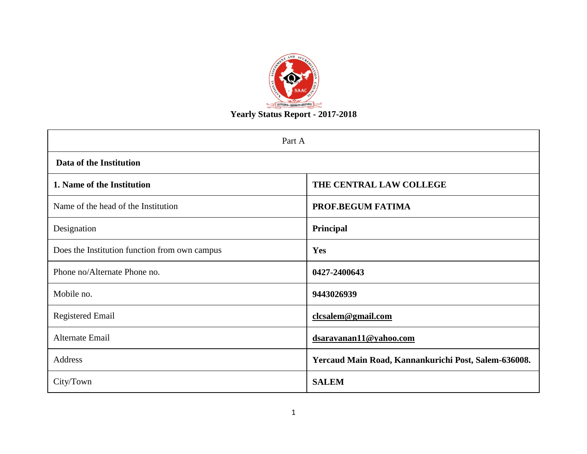

| Part A                                        |                                                      |  |  |  |  |  |  |
|-----------------------------------------------|------------------------------------------------------|--|--|--|--|--|--|
| Data of the Institution                       |                                                      |  |  |  |  |  |  |
| 1. Name of the Institution                    | THE CENTRAL LAW COLLEGE                              |  |  |  |  |  |  |
| Name of the head of the Institution           | PROF.BEGUM FATIMA                                    |  |  |  |  |  |  |
| Designation                                   | Principal                                            |  |  |  |  |  |  |
| Does the Institution function from own campus | Yes                                                  |  |  |  |  |  |  |
| Phone no/Alternate Phone no.                  | 0427-2400643                                         |  |  |  |  |  |  |
| Mobile no.                                    | 9443026939                                           |  |  |  |  |  |  |
| <b>Registered Email</b>                       | clcsalem@gmail.com                                   |  |  |  |  |  |  |
| Alternate Email                               | dsaravanan11@yahoo.com                               |  |  |  |  |  |  |
| Address                                       | Yercaud Main Road, Kannankurichi Post, Salem-636008. |  |  |  |  |  |  |
| City/Town                                     | <b>SALEM</b>                                         |  |  |  |  |  |  |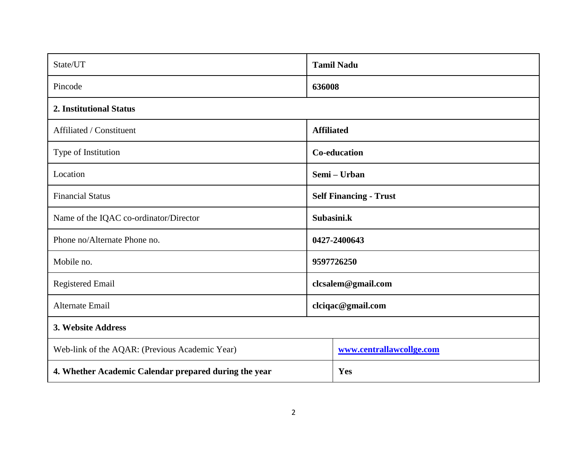| State/UT                                              | <b>Tamil Nadu</b>             |                          |  |  |  |
|-------------------------------------------------------|-------------------------------|--------------------------|--|--|--|
| Pincode                                               | 636008                        |                          |  |  |  |
| 2. Institutional Status                               |                               |                          |  |  |  |
| Affiliated / Constituent                              | <b>Affiliated</b>             |                          |  |  |  |
| Type of Institution                                   | <b>Co-education</b>           |                          |  |  |  |
| Location                                              | Semi – Urban                  |                          |  |  |  |
| <b>Financial Status</b>                               | <b>Self Financing - Trust</b> |                          |  |  |  |
| Name of the IQAC co-ordinator/Director                | Subasini.k                    |                          |  |  |  |
| Phone no/Alternate Phone no.                          |                               | 0427-2400643             |  |  |  |
| Mobile no.                                            |                               | 9597726250               |  |  |  |
| <b>Registered Email</b>                               |                               | clcsalem@gmail.com       |  |  |  |
| <b>Alternate Email</b>                                |                               | clciqac@gmail.com        |  |  |  |
| 3. Website Address                                    |                               |                          |  |  |  |
| Web-link of the AQAR: (Previous Academic Year)        |                               | www.centrallawcollge.com |  |  |  |
| 4. Whether Academic Calendar prepared during the year |                               | Yes                      |  |  |  |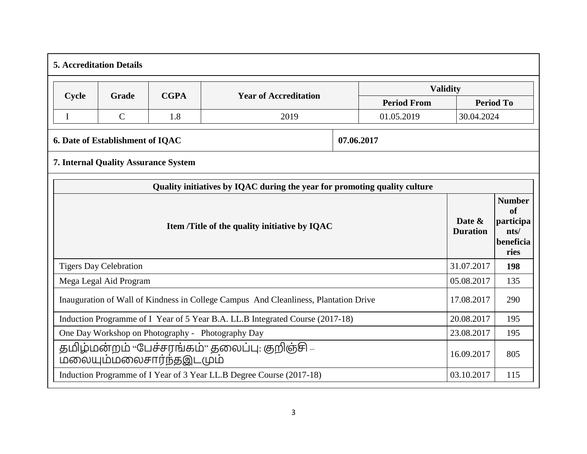| <b>5. Accreditation Details</b>                                                                    |                                                                                         |     |                                                                           |  |                    |            |                  |  |  |  |
|----------------------------------------------------------------------------------------------------|-----------------------------------------------------------------------------------------|-----|---------------------------------------------------------------------------|--|--------------------|------------|------------------|--|--|--|
|                                                                                                    | <b>Validity</b><br><b>CGPA</b><br>Cycle<br><b>Year of Accreditation</b><br><b>Grade</b> |     |                                                                           |  |                    |            |                  |  |  |  |
|                                                                                                    |                                                                                         |     |                                                                           |  | <b>Period From</b> |            | <b>Period To</b> |  |  |  |
| $\mathbf I$                                                                                        | $\mathcal{C}$                                                                           | 1.8 | 2019                                                                      |  | 01.05.2019         | 30.04.2024 |                  |  |  |  |
| 07.06.2017<br>6. Date of Establishment of IQAC                                                     |                                                                                         |     |                                                                           |  |                    |            |                  |  |  |  |
|                                                                                                    | <b>7. Internal Quality Assurance System</b>                                             |     |                                                                           |  |                    |            |                  |  |  |  |
|                                                                                                    |                                                                                         |     | Quality initiatives by IQAC during the year for promoting quality culture |  |                    |            |                  |  |  |  |
|                                                                                                    | Item /Title of the quality initiative by IQAC                                           |     |                                                                           |  |                    |            |                  |  |  |  |
|                                                                                                    | <b>Tigers Day Celebration</b>                                                           |     |                                                                           |  |                    | 31.07.2017 | 198              |  |  |  |
|                                                                                                    | Mega Legal Aid Program                                                                  |     |                                                                           |  |                    | 05.08.2017 | 135              |  |  |  |
| Inauguration of Wall of Kindness in College Campus And Cleanliness, Plantation Drive<br>17.08.2017 |                                                                                         |     |                                                                           |  |                    |            | 290              |  |  |  |
| Induction Programme of I Year of 5 Year B.A. LL.B Integrated Course (2017-18)                      |                                                                                         |     |                                                                           |  |                    | 20.08.2017 | 195              |  |  |  |
| One Day Workshop on Photography - Photography Day                                                  |                                                                                         |     |                                                                           |  |                    | 23.08.2017 | 195              |  |  |  |
|                                                                                                    | தமிழ்மன்றம் "பேச்சரங்கம்" தலைப்பு: குறிஞ்சி –<br>16.09.2017<br>மலையும்மலைசார்ந்தஇடமும்  |     |                                                                           |  |                    |            |                  |  |  |  |
|                                                                                                    |                                                                                         |     | Induction Programme of I Year of 3 Year LL.B Degree Course (2017-18)      |  |                    | 03.10.2017 | 115              |  |  |  |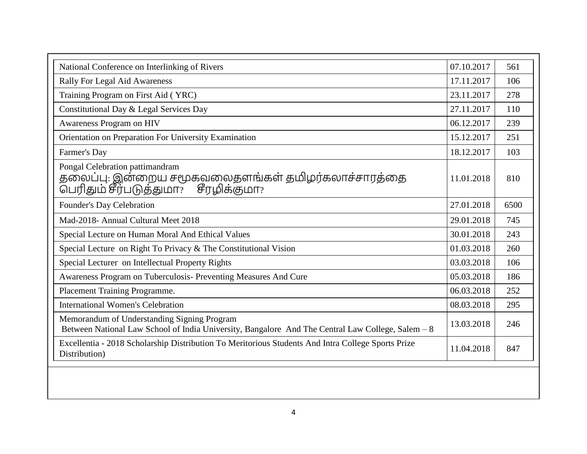| National Conference on Interlinking of Rivers                                                                                                    | 07.10.2017 | 561  |
|--------------------------------------------------------------------------------------------------------------------------------------------------|------------|------|
| Rally For Legal Aid Awareness                                                                                                                    | 17.11.2017 | 106  |
| Training Program on First Aid (YRC)                                                                                                              | 23.11.2017 | 278  |
| Constitutional Day & Legal Services Day                                                                                                          | 27.11.2017 | 110  |
| Awareness Program on HIV                                                                                                                         | 06.12.2017 | 239  |
| Orientation on Preparation For University Examination                                                                                            | 15.12.2017 | 251  |
| Farmer's Day                                                                                                                                     | 18.12.2017 | 103  |
| Pongal Celebration pattimandram<br>தலைப்பு: இன்றைய சமூகவலைதளங்கள் தமிழர்கலாச்சாரத்தை<br>பெரிதும் சீர்படுத்துமா?<br>சீரழிக்குமா?                  | 11.01.2018 | 810  |
| Founder's Day Celebration                                                                                                                        | 27.01.2018 | 6500 |
| Mad-2018- Annual Cultural Meet 2018                                                                                                              | 29.01.2018 | 745  |
| Special Lecture on Human Moral And Ethical Values                                                                                                | 30.01.2018 | 243  |
| Special Lecture on Right To Privacy & The Constitutional Vision                                                                                  | 01.03.2018 | 260  |
| Special Lecturer on Intellectual Property Rights                                                                                                 | 03.03.2018 | 106  |
| Awareness Program on Tuberculosis- Preventing Measures And Cure                                                                                  | 05.03.2018 | 186  |
| Placement Training Programme.                                                                                                                    | 06.03.2018 | 252  |
| <b>International Women's Celebration</b>                                                                                                         | 08.03.2018 | 295  |
| Memorandum of Understanding Signing Program<br>Between National Law School of India University, Bangalore And The Central Law College, Salem - 8 | 13.03.2018 | 246  |
| Excellentia - 2018 Scholarship Distribution To Meritorious Students And Intra College Sports Prize<br>Distribution)                              | 11.04.2018 | 847  |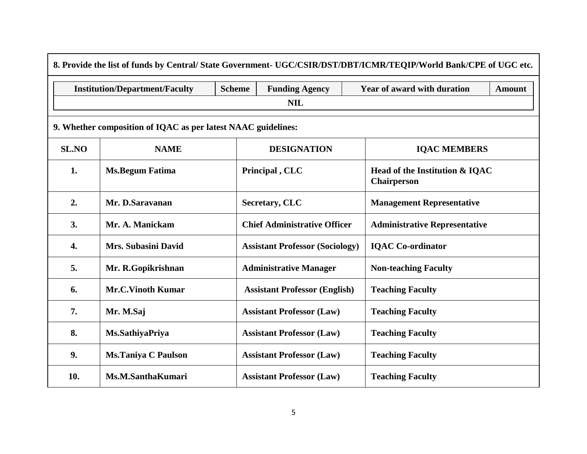| 8. Provide the list of funds by Central/State Government- UGC/CSIR/DST/DBT/ICMR/TEQIP/World Bank/CPE of UGC etc. |                                                               |               |                                        |                                                      |  |  |  |  |  |  |
|------------------------------------------------------------------------------------------------------------------|---------------------------------------------------------------|---------------|----------------------------------------|------------------------------------------------------|--|--|--|--|--|--|
|                                                                                                                  | <b>Institution/Department/Faculty</b>                         | <b>Scheme</b> | <b>Funding Agency</b>                  | Year of award with duration<br><b>Amount</b>         |  |  |  |  |  |  |
| <b>NIL</b>                                                                                                       |                                                               |               |                                        |                                                      |  |  |  |  |  |  |
|                                                                                                                  | 9. Whether composition of IQAC as per latest NAAC guidelines: |               |                                        |                                                      |  |  |  |  |  |  |
| <b>SL.NO</b>                                                                                                     | <b>NAME</b>                                                   |               | <b>DESIGNATION</b>                     | <b>IQAC MEMBERS</b>                                  |  |  |  |  |  |  |
| 1.                                                                                                               | <b>Ms.Begum Fatima</b>                                        |               | Principal, CLC                         | Head of the Institution & IQAC<br><b>Chairperson</b> |  |  |  |  |  |  |
| 2.                                                                                                               | Mr. D.Saravanan                                               |               | Secretary, CLC                         | <b>Management Representative</b>                     |  |  |  |  |  |  |
| 3.                                                                                                               | Mr. A. Manickam                                               |               | <b>Chief Administrative Officer</b>    | <b>Administrative Representative</b>                 |  |  |  |  |  |  |
| 4.                                                                                                               | <b>Mrs. Subasini David</b>                                    |               | <b>Assistant Professor (Sociology)</b> | <b>IQAC</b> Co-ordinator                             |  |  |  |  |  |  |
| 5.                                                                                                               | Mr. R.Gopikrishnan                                            |               | <b>Administrative Manager</b>          | <b>Non-teaching Faculty</b>                          |  |  |  |  |  |  |
| 6.                                                                                                               | <b>Mr.C.Vinoth Kumar</b>                                      |               | <b>Assistant Professor (English)</b>   | <b>Teaching Faculty</b>                              |  |  |  |  |  |  |
| 7.                                                                                                               | Mr. M.Saj                                                     |               | <b>Assistant Professor (Law)</b>       | <b>Teaching Faculty</b>                              |  |  |  |  |  |  |
| 8.                                                                                                               | Ms.SathiyaPriya                                               |               | <b>Assistant Professor (Law)</b>       | <b>Teaching Faculty</b>                              |  |  |  |  |  |  |
| 9.                                                                                                               | <b>Ms.Taniya C Paulson</b>                                    |               | <b>Assistant Professor (Law)</b>       | <b>Teaching Faculty</b>                              |  |  |  |  |  |  |
| 10.                                                                                                              | Ms.M.SanthaKumari                                             |               | <b>Assistant Professor (Law)</b>       | <b>Teaching Faculty</b>                              |  |  |  |  |  |  |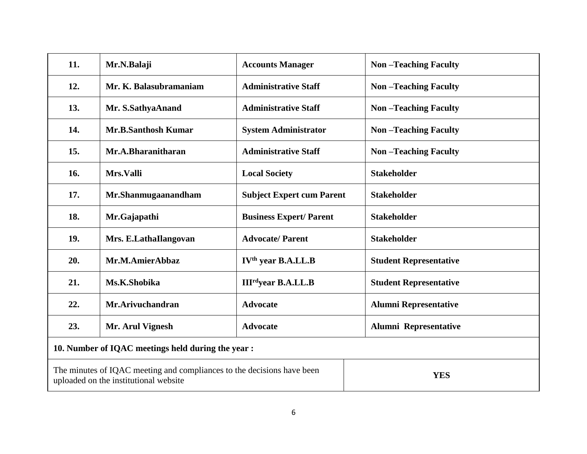| 11.                                                | Mr.N.Balaji                                                                                                     | <b>Accounts Manager</b>              | <b>Non-Teaching Faculty</b>   |  |  |  |
|----------------------------------------------------|-----------------------------------------------------------------------------------------------------------------|--------------------------------------|-------------------------------|--|--|--|
| 12.                                                | Mr. K. Balasubramaniam                                                                                          | <b>Administrative Staff</b>          | <b>Non-Teaching Faculty</b>   |  |  |  |
| 13.                                                | Mr. S.SathyaAnand                                                                                               | <b>Administrative Staff</b>          | <b>Non-Teaching Faculty</b>   |  |  |  |
| 14.                                                | <b>Mr.B.Santhosh Kumar</b>                                                                                      | <b>System Administrator</b>          | <b>Non-Teaching Faculty</b>   |  |  |  |
| 15.                                                | Mr.A.Bharanitharan                                                                                              | <b>Administrative Staff</b>          | <b>Non-Teaching Faculty</b>   |  |  |  |
| 16.                                                | Mrs.Valli                                                                                                       | <b>Local Society</b>                 | <b>Stakeholder</b>            |  |  |  |
| 17.                                                | Mr.Shanmugaanandham                                                                                             | <b>Subject Expert cum Parent</b>     | <b>Stakeholder</b>            |  |  |  |
| 18.                                                | Mr.Gajapathi                                                                                                    | <b>Business Expert/Parent</b>        | <b>Stakeholder</b>            |  |  |  |
| 19.                                                | Mrs. E.LathaIlangovan                                                                                           | <b>Advocate/Parent</b>               | <b>Stakeholder</b>            |  |  |  |
| 20.                                                | Mr.M.AmierAbbaz                                                                                                 | IV <sup>th</sup> year B.A.LL.B       | <b>Student Representative</b> |  |  |  |
| 21.                                                | Ms.K.Shobika                                                                                                    | <b>III<sup>rd</sup>year B.A.LL.B</b> | <b>Student Representative</b> |  |  |  |
| 22.                                                | Mr.Arivuchandran                                                                                                | <b>Advocate</b>                      | <b>Alumni Representative</b>  |  |  |  |
| 23.                                                | Mr. Arul Vignesh                                                                                                | <b>Advocate</b>                      | Alumni Representative         |  |  |  |
| 10. Number of IQAC meetings held during the year : |                                                                                                                 |                                      |                               |  |  |  |
|                                                    | The minutes of IQAC meeting and compliances to the decisions have been<br>uploaded on the institutional website |                                      | <b>YES</b>                    |  |  |  |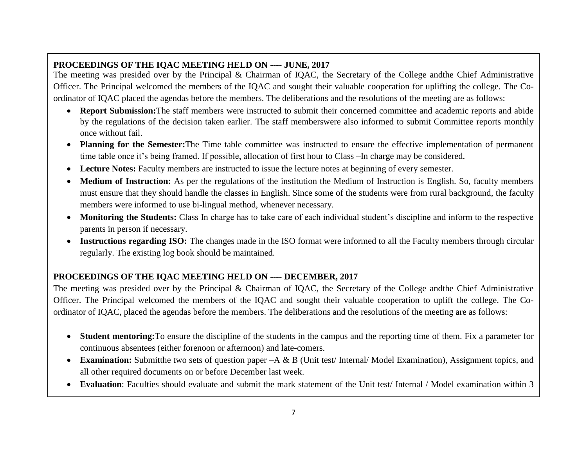# **PROCEEDINGS OF THE IQAC MEETING HELD ON ---- JUNE, 2017**

The meeting was presided over by the Principal & Chairman of IQAC, the Secretary of the College andthe Chief Administrative Officer. The Principal welcomed the members of the IQAC and sought their valuable cooperation for uplifting the college. The Coordinator of IQAC placed the agendas before the members. The deliberations and the resolutions of the meeting are as follows:

- **Report Submission:**The staff members were instructed to submit their concerned committee and academic reports and abide by the regulations of the decision taken earlier. The staff memberswere also informed to submit Committee reports monthly once without fail.
- **Planning for the Semester:**The Time table committee was instructed to ensure the effective implementation of permanent time table once it's being framed. If possible, allocation of first hour to Class –In charge may be considered.
- **Lecture Notes:** Faculty members are instructed to issue the lecture notes at beginning of every semester.
- **Medium of Instruction:** As per the regulations of the institution the Medium of Instruction is English. So, faculty members must ensure that they should handle the classes in English. Since some of the students were from rural background, the faculty members were informed to use bi-lingual method, whenever necessary.
- **Monitoring the Students:** Class In charge has to take care of each individual student's discipline and inform to the respective parents in person if necessary.
- Instructions regarding ISO: The changes made in the ISO format were informed to all the Faculty members through circular regularly. The existing log book should be maintained.

# **PROCEEDINGS OF THE IQAC MEETING HELD ON ---- DECEMBER, 2017**

The meeting was presided over by the Principal & Chairman of IQAC, the Secretary of the College andthe Chief Administrative Officer. The Principal welcomed the members of the IQAC and sought their valuable cooperation to uplift the college. The Coordinator of IQAC, placed the agendas before the members. The deliberations and the resolutions of the meeting are as follows:

- **Student mentoring:**To ensure the discipline of the students in the campus and the reporting time of them. Fix a parameter for continuous absentees (either forenoon or afternoon) and late-comers.
- **Examination:** Submitthe two sets of question paper –A & B (Unit test/ Internal/ Model Examination), Assignment topics, and all other required documents on or before December last week.
- **Evaluation**: Faculties should evaluate and submit the mark statement of the Unit test/ Internal / Model examination within 3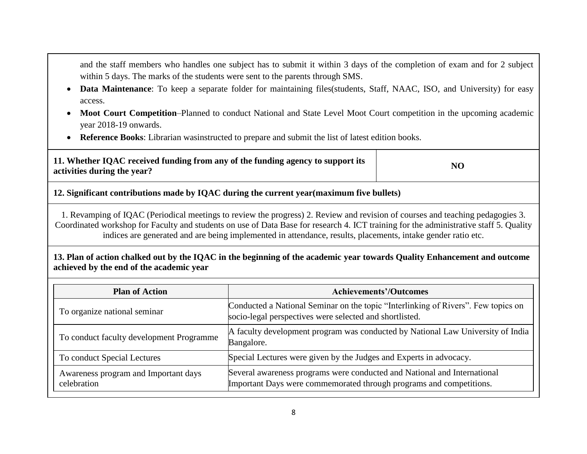and the staff members who handles one subject has to submit it within 3 days of the completion of exam and for 2 subject within 5 days. The marks of the students were sent to the parents through SMS.

- **Data Maintenance**: To keep a separate folder for maintaining files(students, Staff, NAAC, ISO, and University) for easy access.
- **Moot Court Competition**–Planned to conduct National and State Level Moot Court competition in the upcoming academic year 2018-19 onwards.
- **Reference Books**: Librarian wasinstructed to prepare and submit the list of latest edition books.

| 11. Whether IQAC received funding from any of the funding agency to support its | NO |
|---------------------------------------------------------------------------------|----|
| activities during the year?                                                     |    |

## **12. Significant contributions made by IQAC during the current year(maximum five bullets)**

1. Revamping of IQAC (Periodical meetings to review the progress) 2. Review and revision of courses and teaching pedagogies 3. Coordinated workshop for Faculty and students on use of Data Base for research 4. ICT training for the administrative staff 5. Quality indices are generated and are being implemented in attendance, results, placements, intake gender ratio etc.

### **13. Plan of action chalked out by the IQAC in the beginning of the academic year towards Quality Enhancement and outcome achieved by the end of the academic year**

| <b>Plan of Action</b>                               | <b>Achievements'/Outcomes</b>                                                                                                                   |  |  |  |  |  |
|-----------------------------------------------------|-------------------------------------------------------------------------------------------------------------------------------------------------|--|--|--|--|--|
| To organize national seminar                        | Conducted a National Seminar on the topic "Interlinking of Rivers". Few topics on<br>socio-legal perspectives were selected and shortlisted.    |  |  |  |  |  |
| To conduct faculty development Programme            | A faculty development program was conducted by National Law University of India<br>Bangalore.                                                   |  |  |  |  |  |
| To conduct Special Lectures                         | Special Lectures were given by the Judges and Experts in advocacy.                                                                              |  |  |  |  |  |
| Awareness program and Important days<br>celebration | Several awareness programs were conducted and National and International<br>Important Days were commemorated through programs and competitions. |  |  |  |  |  |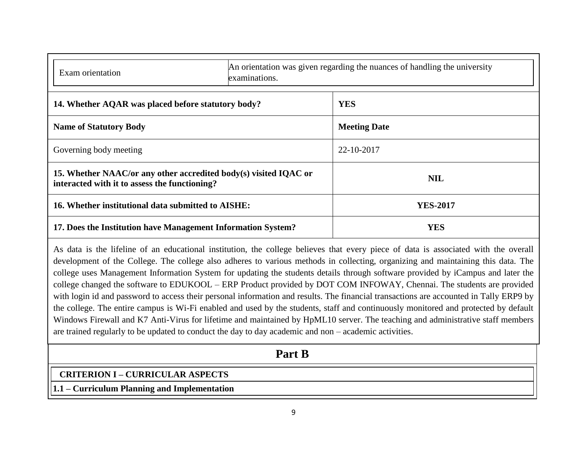| Exam orientation                                                                                                  | An orientation was given regarding the nuances of handling the university<br>examinations. |                     |  |  |  |  |
|-------------------------------------------------------------------------------------------------------------------|--------------------------------------------------------------------------------------------|---------------------|--|--|--|--|
| 14. Whether AQAR was placed before statutory body?                                                                | <b>YES</b>                                                                                 |                     |  |  |  |  |
| <b>Name of Statutory Body</b>                                                                                     |                                                                                            | <b>Meeting Date</b> |  |  |  |  |
| Governing body meeting                                                                                            |                                                                                            | 22-10-2017          |  |  |  |  |
| 15. Whether NAAC/or any other accredited body(s) visited IQAC or<br>interacted with it to assess the functioning? |                                                                                            | <b>NIL</b>          |  |  |  |  |
| 16. Whether institutional data submitted to AISHE:                                                                |                                                                                            | <b>YES-2017</b>     |  |  |  |  |
| 17. Does the Institution have Management Information System?                                                      |                                                                                            | <b>YES</b>          |  |  |  |  |

As data is the lifeline of an educational institution, the college believes that every piece of data is associated with the overall development of the College. The college also adheres to various methods in collecting, organizing and maintaining this data. The college uses Management Information System for updating the students details through software provided by iCampus and later the college changed the software to EDUKOOL – ERP Product provided by DOT COM INFOWAY, Chennai. The students are provided with login id and password to access their personal information and results. The financial transactions are accounted in Tally ERP9 by the college. The entire campus is Wi-Fi enabled and used by the students, staff and continuously monitored and protected by default Windows Firewall and K7 Anti-Virus for lifetime and maintained by HpML10 server. The teaching and administrative staff members are trained regularly to be updated to conduct the day to day academic and non – academic activities.

# **Part B**

## **CRITERION I – CURRICULAR ASPECTS**

**1.1 – Curriculum Planning and Implementation**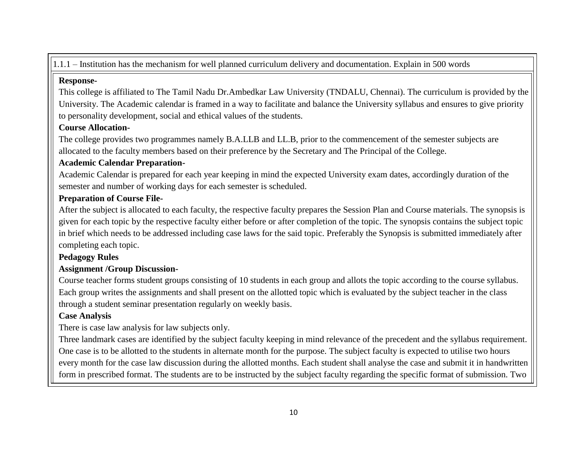1.1.1 – Institution has the mechanism for well planned curriculum delivery and documentation. Explain in 500 words

### **Response-**

This college is affiliated to The Tamil Nadu Dr.Ambedkar Law University (TNDALU, Chennai). The curriculum is provided by the University. The Academic calendar is framed in a way to facilitate and balance the University syllabus and ensures to give priority to personality development, social and ethical values of the students.

## **Course Allocation-**

The college provides two programmes namely B.A.LLB and LL.B, prior to the commencement of the semester subjects are allocated to the faculty members based on their preference by the Secretary and The Principal of the College.

## **Academic Calendar Preparation-**

Academic Calendar is prepared for each year keeping in mind the expected University exam dates, accordingly duration of the semester and number of working days for each semester is scheduled.

## **Preparation of Course File-**

After the subject is allocated to each faculty, the respective faculty prepares the Session Plan and Course materials. The synopsis is given for each topic by the respective faculty either before or after completion of the topic. The synopsis contains the subject topic in brief which needs to be addressed including case laws for the said topic. Preferably the Synopsis is submitted immediately after completing each topic.

# **Pedagogy Rules**

## **Assignment /Group Discussion-**

Course teacher forms student groups consisting of 10 students in each group and allots the topic according to the course syllabus. Each group writes the assignments and shall present on the allotted topic which is evaluated by the subject teacher in the class through a student seminar presentation regularly on weekly basis.

# **Case Analysis**

There is case law analysis for law subjects only.

Three landmark cases are identified by the subject faculty keeping in mind relevance of the precedent and the syllabus requirement. One case is to be allotted to the students in alternate month for the purpose. The subject faculty is expected to utilise two hours every month for the case law discussion during the allotted months. Each student shall analyse the case and submit it in handwritten form in prescribed format. The students are to be instructed by the subject faculty regarding the specific format of submission. Two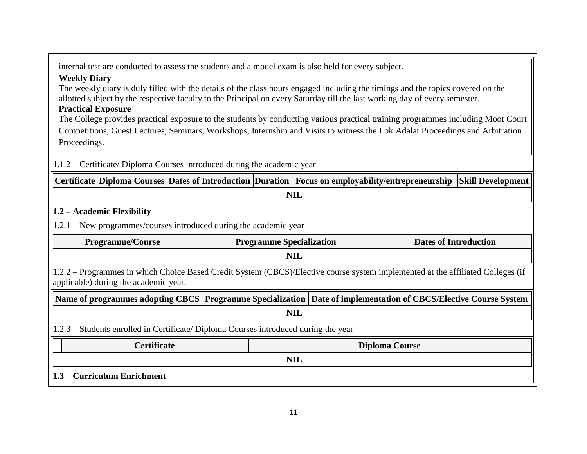internal test are conducted to assess the students and a model exam is also held for every subject.

### **Weekly Diary**

The weekly diary is duly filled with the details of the class hours engaged including the timings and the topics covered on the allotted subject by the respective faculty to the Principal on every Saturday till the last working day of every semester.

## **Practical Exposure**

The College provides practical exposure to the students by conducting various practical training programmes including Moot Court Competitions, Guest Lectures, Seminars, Workshops, Internship and Visits to witness the Lok Adalat Proceedings and Arbitration Proceedings.

1.1.2 – Certificate/ Diploma Courses introduced during the academic year

**Certificate Diploma Courses Dates of Introduction Duration Focus on employability/entrepreneurship Skill Development**

# **NIL**

## **1.2 – Academic Flexibility**

1.2.1 – New programmes/courses introduced during the academic year

| <b>Programme/Course</b>                                                                                                                                                  |  | <b>Programme Specialization</b> |  | <b>Dates of Introduction</b> |  |  |  |  |
|--------------------------------------------------------------------------------------------------------------------------------------------------------------------------|--|---------------------------------|--|------------------------------|--|--|--|--|
| <b>NIL</b>                                                                                                                                                               |  |                                 |  |                              |  |  |  |  |
| 1.2.2 – Programmes in which Choice Based Credit System (CBCS)/Elective course system implemented at the affiliated Colleges (if<br>applicable) during the academic year. |  |                                 |  |                              |  |  |  |  |
| Name of programmes adopting CBCS   Programme Specialization   Date of implementation of CBCS/Elective Course System                                                      |  |                                 |  |                              |  |  |  |  |
|                                                                                                                                                                          |  | <b>NIL</b>                      |  |                              |  |  |  |  |
| 1.2.3 – Students enrolled in Certificate/ Diploma Courses introduced during the year                                                                                     |  |                                 |  |                              |  |  |  |  |
| <b>Certificate</b><br><b>Diploma Course</b>                                                                                                                              |  |                                 |  |                              |  |  |  |  |
| <b>NIL</b>                                                                                                                                                               |  |                                 |  |                              |  |  |  |  |

**1.3 – Curriculum Enrichment**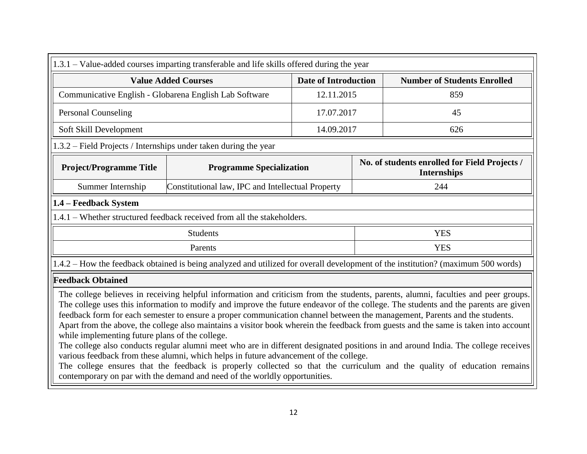| 1.3.1 – Value-added courses imparting transferable and life skills offered during the year                                                                                                                                                                                                                                                                                                                                                                                                                                                                                                                                                                                                                                                                                                                                     |                                                                         |            |                                    |                                                                                                                                  |  |  |
|--------------------------------------------------------------------------------------------------------------------------------------------------------------------------------------------------------------------------------------------------------------------------------------------------------------------------------------------------------------------------------------------------------------------------------------------------------------------------------------------------------------------------------------------------------------------------------------------------------------------------------------------------------------------------------------------------------------------------------------------------------------------------------------------------------------------------------|-------------------------------------------------------------------------|------------|------------------------------------|----------------------------------------------------------------------------------------------------------------------------------|--|--|
| <b>Value Added Courses</b>                                                                                                                                                                                                                                                                                                                                                                                                                                                                                                                                                                                                                                                                                                                                                                                                     | <b>Date of Introduction</b>                                             |            | <b>Number of Students Enrolled</b> |                                                                                                                                  |  |  |
| Communicative English - Globarena English Lab Software                                                                                                                                                                                                                                                                                                                                                                                                                                                                                                                                                                                                                                                                                                                                                                         | 12.11.2015                                                              |            | 859                                |                                                                                                                                  |  |  |
| <b>Personal Counseling</b>                                                                                                                                                                                                                                                                                                                                                                                                                                                                                                                                                                                                                                                                                                                                                                                                     |                                                                         | 17.07.2017 |                                    | 45                                                                                                                               |  |  |
| Soft Skill Development                                                                                                                                                                                                                                                                                                                                                                                                                                                                                                                                                                                                                                                                                                                                                                                                         |                                                                         | 14.09.2017 |                                    | 626                                                                                                                              |  |  |
| 1.3.2 – Field Projects / Internships under taken during the year                                                                                                                                                                                                                                                                                                                                                                                                                                                                                                                                                                                                                                                                                                                                                               |                                                                         |            |                                    |                                                                                                                                  |  |  |
| <b>Project/Programme Title</b><br><b>Programme Specialization</b>                                                                                                                                                                                                                                                                                                                                                                                                                                                                                                                                                                                                                                                                                                                                                              |                                                                         |            |                                    | No. of students enrolled for Field Projects /<br><b>Internships</b>                                                              |  |  |
| Summer Internship                                                                                                                                                                                                                                                                                                                                                                                                                                                                                                                                                                                                                                                                                                                                                                                                              | Constitutional law, IPC and Intellectual Property                       |            |                                    | 244                                                                                                                              |  |  |
| 1.4 - Feedback System                                                                                                                                                                                                                                                                                                                                                                                                                                                                                                                                                                                                                                                                                                                                                                                                          |                                                                         |            |                                    |                                                                                                                                  |  |  |
|                                                                                                                                                                                                                                                                                                                                                                                                                                                                                                                                                                                                                                                                                                                                                                                                                                | 1.4.1 – Whether structured feedback received from all the stakeholders. |            |                                    |                                                                                                                                  |  |  |
|                                                                                                                                                                                                                                                                                                                                                                                                                                                                                                                                                                                                                                                                                                                                                                                                                                | <b>Students</b>                                                         |            |                                    | <b>YES</b>                                                                                                                       |  |  |
|                                                                                                                                                                                                                                                                                                                                                                                                                                                                                                                                                                                                                                                                                                                                                                                                                                | Parents                                                                 |            |                                    | <b>YES</b>                                                                                                                       |  |  |
|                                                                                                                                                                                                                                                                                                                                                                                                                                                                                                                                                                                                                                                                                                                                                                                                                                |                                                                         |            |                                    | 1.4.2 – How the feedback obtained is being analyzed and utilized for overall development of the institution? (maximum 500 words) |  |  |
| <b>Feedback Obtained</b>                                                                                                                                                                                                                                                                                                                                                                                                                                                                                                                                                                                                                                                                                                                                                                                                       |                                                                         |            |                                    |                                                                                                                                  |  |  |
| The college believes in receiving helpful information and criticism from the students, parents, alumni, faculties and peer groups.<br>The college uses this information to modify and improve the future endeavor of the college. The students and the parents are given<br>feedback form for each semester to ensure a proper communication channel between the management, Parents and the students.<br>Apart from the above, the college also maintains a visitor book wherein the feedback from guests and the same is taken into account<br>while implementing future plans of the college.<br>The college also conducts regular alumni meet who are in different designated positions in and around India. The college receives<br>various feedback from these alumni, which helps in future advancement of the college. |                                                                         |            |                                    |                                                                                                                                  |  |  |

The college ensures that the feedback is properly collected so that the curriculum and the quality of education remains contemporary on par with the demand and need of the worldly opportunities.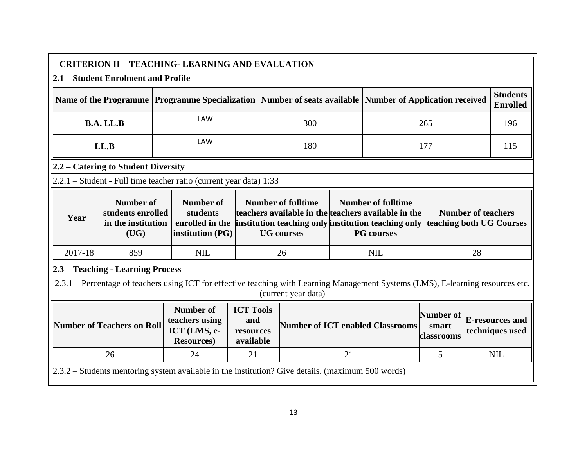| <b>CRITERION II - TEACHING- LEARNING AND EVALUATION</b>                                                       |                                                              |     |                                                                                                                                   |                                                   |     |                                                                                                                                                                                                                |    |                                                       |     |                                           |            |
|---------------------------------------------------------------------------------------------------------------|--------------------------------------------------------------|-----|-----------------------------------------------------------------------------------------------------------------------------------|---------------------------------------------------|-----|----------------------------------------------------------------------------------------------------------------------------------------------------------------------------------------------------------------|----|-------------------------------------------------------|-----|-------------------------------------------|------------|
| 2.1 – Student Enrolment and Profile                                                                           |                                                              |     |                                                                                                                                   |                                                   |     |                                                                                                                                                                                                                |    |                                                       |     |                                           |            |
| Name of the Programme   Programme Specialization   Number of seats available   Number of Application received |                                                              |     |                                                                                                                                   |                                                   |     |                                                                                                                                                                                                                |    | <b>Students</b><br><b>Enrolled</b>                    |     |                                           |            |
| <b>LAW</b><br>B.A. LL.B<br>300                                                                                |                                                              | 265 |                                                                                                                                   |                                                   | 196 |                                                                                                                                                                                                                |    |                                                       |     |                                           |            |
|                                                                                                               | LL.B                                                         |     | LAW                                                                                                                               |                                                   |     | 180                                                                                                                                                                                                            |    |                                                       | 177 |                                           | 115        |
|                                                                                                               | 2.2 – Catering to Student Diversity                          |     |                                                                                                                                   |                                                   |     |                                                                                                                                                                                                                |    |                                                       |     |                                           |            |
|                                                                                                               |                                                              |     | 2.2.1 – Student - Full time teacher ratio (current year data) 1:33                                                                |                                                   |     |                                                                                                                                                                                                                |    |                                                       |     |                                           |            |
| Year                                                                                                          | Number of<br>students enrolled<br>in the institution<br>(UG) |     | <b>Number of</b><br>students<br>enrolled in the<br>institution (PG)                                                               |                                                   |     | <b>Number of fulltime</b><br><b>Number of fulltime</b><br>teachers available in the teachers available in the<br>institution teaching only institution teaching only<br><b>PG</b> courses<br><b>UG</b> courses |    | <b>Number of teachers</b><br>teaching both UG Courses |     |                                           |            |
| 2017-18                                                                                                       | 859                                                          |     | <b>NIL</b>                                                                                                                        |                                                   |     | 26                                                                                                                                                                                                             |    | 28<br><b>NIL</b>                                      |     |                                           |            |
|                                                                                                               | 2.3 - Teaching - Learning Process                            |     |                                                                                                                                   |                                                   |     |                                                                                                                                                                                                                |    |                                                       |     |                                           |            |
|                                                                                                               |                                                              |     | 2.3.1 – Percentage of teachers using ICT for effective teaching with Learning Management Systems (LMS), E-learning resources etc. |                                                   |     | (current year data)                                                                                                                                                                                            |    |                                                       |     |                                           |            |
|                                                                                                               | Number of Teachers on Roll                                   |     | <b>Number of</b><br>teachers using<br>ICT (LMS, e-<br><b>Resources</b> )                                                          | <b>ICT Tools</b><br>and<br>resources<br>available |     | <b>Number of ICT enabled Classrooms</b>                                                                                                                                                                        |    | Number of<br>smart<br><b>classrooms</b>               |     | <b>E-resources and</b><br>techniques used |            |
|                                                                                                               | 26                                                           |     | 24                                                                                                                                | 21                                                |     |                                                                                                                                                                                                                | 21 |                                                       | 5   |                                           | <b>NIL</b> |
|                                                                                                               |                                                              |     | 2.3.2 – Students mentoring system available in the institution? Give details. (maximum 500 words)                                 |                                                   |     |                                                                                                                                                                                                                |    |                                                       |     |                                           |            |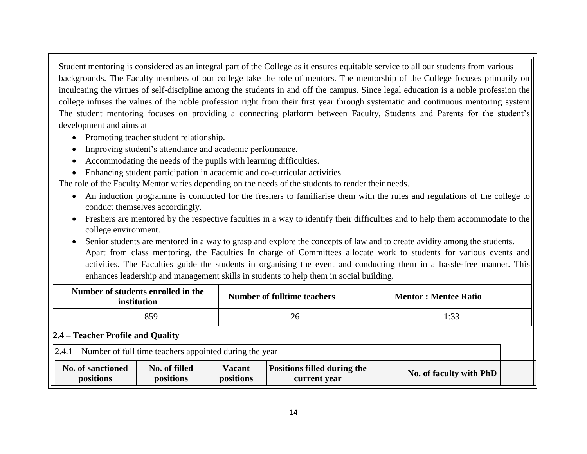Student mentoring is considered as an integral part of the College as it ensures equitable service to all our students from various backgrounds. The Faculty members of our college take the role of mentors. The mentorship of the College focuses primarily on inculcating the virtues of self-discipline among the students in and off the campus. Since legal education is a noble profession the college infuses the values of the noble profession right from their first year through systematic and continuous mentoring system The student mentoring focuses on providing a connecting platform between Faculty, Students and Parents for the student's development and aims at

- Promoting teacher student relationship.
- Improving student's attendance and academic performance.
- Accommodating the needs of the pupils with learning difficulties.
- Enhancing student participation in academic and co-curricular activities.

The role of the Faculty Mentor varies depending on the needs of the students to render their needs.

- An induction programme is conducted for the freshers to familiarise them with the rules and regulations of the college to conduct themselves accordingly.
- Freshers are mentored by the respective faculties in a way to identify their difficulties and to help them accommodate to the college environment.
- Senior students are mentored in a way to grasp and explore the concepts of law and to create avidity among the students. Apart from class mentoring, the Faculties In charge of Committees allocate work to students for various events and activities. The Faculties guide the students in organising the event and conducting them in a hassle-free manner. This enhances leadership and management skills in students to help them in social building.

|                                                                    | Number of students enrolled in the<br>institution                                                                                         |  | <b>Number of fulltime teachers</b> | <b>Mentor: Mentee Ratio</b> |  |
|--------------------------------------------------------------------|-------------------------------------------------------------------------------------------------------------------------------------------|--|------------------------------------|-----------------------------|--|
|                                                                    | 859                                                                                                                                       |  | 26                                 | 1:33                        |  |
| $ 2.4 -$ Teacher Profile and Quality                               |                                                                                                                                           |  |                                    |                             |  |
| $\ 2.4.1 -$ Number of full time teachers appointed during the year |                                                                                                                                           |  |                                    |                             |  |
| No. of sanctioned<br>positions                                     | No. of filled<br><b>Vacant</b><br><b>Positions filled during the</b><br>No. of faculty with PhD<br>positions<br>positions<br>current year |  |                                    |                             |  |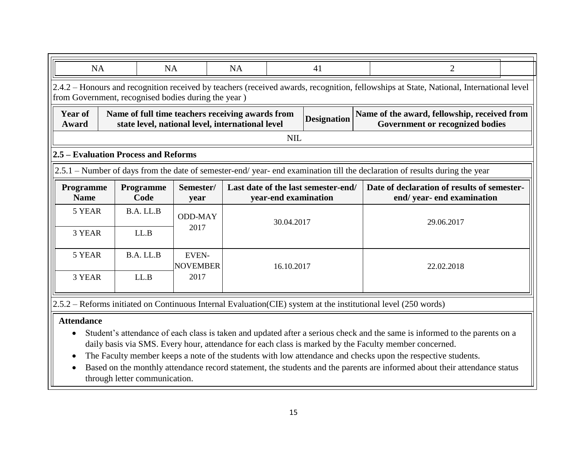| <b>NA</b>                                                                                                                                                                                                                                | <b>NA</b><br><b>NA</b><br>41<br>2    |                   |                   |  |                      |                                     |  |                                                                                                                               |  |  |
|------------------------------------------------------------------------------------------------------------------------------------------------------------------------------------------------------------------------------------------|--------------------------------------|-------------------|-------------------|--|----------------------|-------------------------------------|--|-------------------------------------------------------------------------------------------------------------------------------|--|--|
| 2.4.2 – Honours and recognition received by teachers (received awards, recognition, fellowships at State, National, International level<br>from Government, recognised bodies during the year)                                           |                                      |                   |                   |  |                      |                                     |  |                                                                                                                               |  |  |
| <b>Year of</b><br>Name of the award, fellowship, received from<br>Name of full time teachers receiving awards from<br><b>Designation</b><br>state level, national level, international level<br>Government or recognized bodies<br>Award |                                      |                   |                   |  |                      |                                     |  |                                                                                                                               |  |  |
|                                                                                                                                                                                                                                          |                                      |                   |                   |  | <b>NIL</b>           |                                     |  |                                                                                                                               |  |  |
|                                                                                                                                                                                                                                          | 2.5 – Evaluation Process and Reforms |                   |                   |  |                      |                                     |  |                                                                                                                               |  |  |
|                                                                                                                                                                                                                                          |                                      |                   |                   |  |                      |                                     |  | $ 2.5.1 -$ Number of days from the date of semester-end/year- end examination till the declaration of results during the year |  |  |
| Programme<br><b>Name</b>                                                                                                                                                                                                                 |                                      | Programme<br>Code | Semester/<br>year |  | year-end examination | Last date of the last semester-end/ |  | Date of declaration of results of semester-<br>end/year-end examination                                                       |  |  |
| 5 YEAR                                                                                                                                                                                                                                   |                                      | B.A. LL.B         | <b>ODD-MAY</b>    |  | 30.04.2017           |                                     |  | 29.06.2017                                                                                                                    |  |  |
| 3 YEAR                                                                                                                                                                                                                                   |                                      | LL.B              | 2017              |  |                      |                                     |  |                                                                                                                               |  |  |
| B.A. LL.B<br>5 YEAR<br><b>EVEN-</b><br><b>NOVEMBER</b><br>16.10.2017<br>22.02.2018                                                                                                                                                       |                                      |                   |                   |  |                      |                                     |  |                                                                                                                               |  |  |
| 3 YEAR                                                                                                                                                                                                                                   |                                      | LL.B              | 2017              |  |                      |                                     |  |                                                                                                                               |  |  |
|                                                                                                                                                                                                                                          |                                      |                   |                   |  |                      |                                     |  | 2.5.2 – Reforms initiated on Continuous Internal Evaluation (CIE) system at the institutional level (250 words)               |  |  |

### **Attendance**

- Student's attendance of each class is taken and updated after a serious check and the same is informed to the parents on a daily basis via SMS. Every hour, attendance for each class is marked by the Faculty member concerned.
- The Faculty member keeps a note of the students with low attendance and checks upon the respective students.
- Based on the monthly attendance record statement, the students and the parents are informed about their attendance status through letter communication.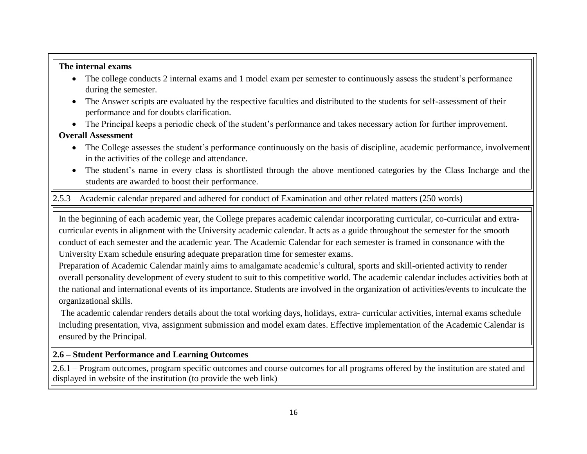### **The internal exams**

- The college conducts 2 internal exams and 1 model exam per semester to continuously assess the student's performance during the semester.
- The Answer scripts are evaluated by the respective faculties and distributed to the students for self-assessment of their performance and for doubts clarification.

The Principal keeps a periodic check of the student's performance and takes necessary action for further improvement.

# **Overall Assessment**

- The College assesses the student's performance continuously on the basis of discipline, academic performance, involvement in the activities of the college and attendance.
- The student's name in every class is shortlisted through the above mentioned categories by the Class Incharge and the students are awarded to boost their performance.

2.5.3 – Academic calendar prepared and adhered for conduct of Examination and other related matters (250 words)

In the beginning of each academic year, the College prepares academic calendar incorporating curricular, co-curricular and extracurricular events in alignment with the University academic calendar. It acts as a guide throughout the semester for the smooth conduct of each semester and the academic year. The Academic Calendar for each semester is framed in consonance with the University Exam schedule ensuring adequate preparation time for semester exams.

Preparation of Academic Calendar mainly aims to amalgamate academic's cultural, sports and skill-oriented activity to render overall personality development of every student to suit to this competitive world. The academic calendar includes activities both at the national and international events of its importance. Students are involved in the organization of activities/events to inculcate the organizational skills.

The academic calendar renders details about the total working days, holidays, extra- curricular activities, internal exams schedule including presentation, viva, assignment submission and model exam dates. Effective implementation of the Academic Calendar is ensured by the Principal.

### **2.6 – Student Performance and Learning Outcomes**

2.6.1 – Program outcomes, program specific outcomes and course outcomes for all programs offered by the institution are stated and displayed in website of the institution (to provide the web link)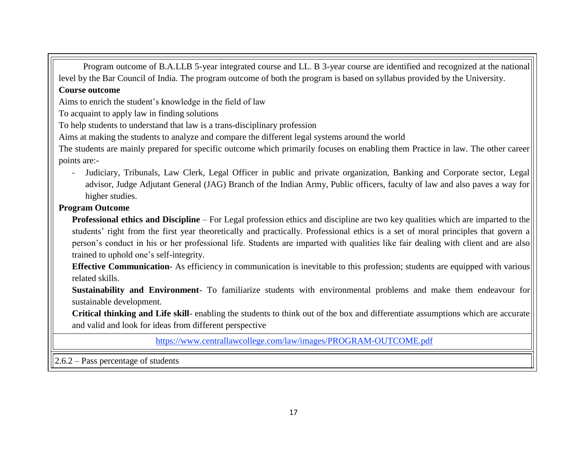Program outcome of B.A.LLB 5-year integrated course and LL. B 3-year course are identified and recognized at the national level by the Bar Council of India. The program outcome of both the program is based on syllabus provided by the University.

### **Course outcome**

Aims to enrich the student's knowledge in the field of law

To acquaint to apply law in finding solutions

To help students to understand that law is a trans-disciplinary profession

Aims at making the students to analyze and compare the different legal systems around the world

The students are mainly prepared for specific outcome which primarily focuses on enabling them Practice in law. The other career points are:-

- Judiciary, Tribunals, Law Clerk, Legal Officer in public and private organization, Banking and Corporate sector, Legal advisor, Judge Adjutant General (JAG) Branch of the Indian Army, Public officers, faculty of law and also paves a way for higher studies.

## **Program Outcome**

**Professional ethics and Discipline** – For Legal profession ethics and discipline are two key qualities which are imparted to the students' right from the first year theoretically and practically. Professional ethics is a set of moral principles that govern a person's conduct in his or her professional life. Students are imparted with qualities like fair dealing with client and are also trained to uphold one's self-integrity.

**Effective Communication**- As efficiency in communication is inevitable to this profession; students are equipped with various related skills.

**Sustainability and Environment**- To familiarize students with environmental problems and make them endeavour for sustainable development.

**Critical thinking and Life skill**- enabling the students to think out of the box and differentiate assumptions which are accurate and valid and look for ideas from different perspective

<https://www.centrallawcollege.com/law/images/PROGRAM-OUTCOME.pdf>

2.6.2 – Pass percentage of students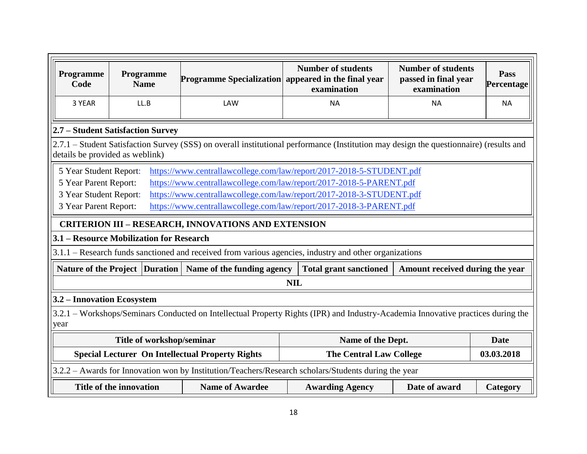| Programme<br>Code                                                                                       | Programme<br><b>Name</b>                                                                                                                                                                                                                                                                                                                                                                         | Programme Specialization appeared in the final year        | <b>Number of students</b><br>examination                                                                                               | <b>Number of students</b><br>passed in final year<br>examination | Pass<br>Percentage |  |  |  |  |  |
|---------------------------------------------------------------------------------------------------------|--------------------------------------------------------------------------------------------------------------------------------------------------------------------------------------------------------------------------------------------------------------------------------------------------------------------------------------------------------------------------------------------------|------------------------------------------------------------|----------------------------------------------------------------------------------------------------------------------------------------|------------------------------------------------------------------|--------------------|--|--|--|--|--|
| 3 YEAR                                                                                                  | LL.B                                                                                                                                                                                                                                                                                                                                                                                             | LAW                                                        | <b>NA</b>                                                                                                                              | <b>NA</b>                                                        | <b>NA</b>          |  |  |  |  |  |
| 2.7 – Student Satisfaction Survey                                                                       |                                                                                                                                                                                                                                                                                                                                                                                                  |                                                            |                                                                                                                                        |                                                                  |                    |  |  |  |  |  |
|                                                                                                         | details be provided as weblink)                                                                                                                                                                                                                                                                                                                                                                  |                                                            | 2.7.1 – Student Satisfaction Survey (SSS) on overall institutional performance (Institution may design the questionnaire) (results and |                                                                  |                    |  |  |  |  |  |
|                                                                                                         | https://www.centrallawcollege.com/law/report/2017-2018-5-STUDENT.pdf<br>5 Year Student Report:<br>https://www.centrallawcollege.com/law/report/2017-2018-5-PARENT.pdf<br>5 Year Parent Report:<br>3 Year Student Report:<br>https://www.centrallawcollege.com/law/report/2017-2018-3-STUDENT.pdf<br>3 Year Parent Report:<br>https://www.centrallawcollege.com/law/report/2017-2018-3-PARENT.pdf |                                                            |                                                                                                                                        |                                                                  |                    |  |  |  |  |  |
|                                                                                                         |                                                                                                                                                                                                                                                                                                                                                                                                  | <b>CRITERION III - RESEARCH, INNOVATIONS AND EXTENSION</b> |                                                                                                                                        |                                                                  |                    |  |  |  |  |  |
|                                                                                                         | 3.1 – Resource Mobilization for Research                                                                                                                                                                                                                                                                                                                                                         |                                                            |                                                                                                                                        |                                                                  |                    |  |  |  |  |  |
|                                                                                                         |                                                                                                                                                                                                                                                                                                                                                                                                  |                                                            | 3.1.1 – Research funds sanctioned and received from various agencies, industry and other organizations                                 |                                                                  |                    |  |  |  |  |  |
|                                                                                                         | Nature of the Project   Duration                                                                                                                                                                                                                                                                                                                                                                 | Name of the funding agency                                 | <b>Total grant sanctioned</b>                                                                                                          | Amount received during the year                                  |                    |  |  |  |  |  |
|                                                                                                         |                                                                                                                                                                                                                                                                                                                                                                                                  |                                                            | <b>NIL</b>                                                                                                                             |                                                                  |                    |  |  |  |  |  |
| 3.2 – Innovation Ecosystem                                                                              |                                                                                                                                                                                                                                                                                                                                                                                                  |                                                            |                                                                                                                                        |                                                                  |                    |  |  |  |  |  |
| year                                                                                                    |                                                                                                                                                                                                                                                                                                                                                                                                  |                                                            | 3.2.1 – Workshops/Seminars Conducted on Intellectual Property Rights (IPR) and Industry-Academia Innovative practices during the       |                                                                  |                    |  |  |  |  |  |
| Title of workshop/seminar<br>Name of the Dept.<br><b>Date</b>                                           |                                                                                                                                                                                                                                                                                                                                                                                                  |                                                            |                                                                                                                                        |                                                                  |                    |  |  |  |  |  |
| <b>Special Lecturer On Intellectual Property Rights</b><br>03.03.2018<br><b>The Central Law College</b> |                                                                                                                                                                                                                                                                                                                                                                                                  |                                                            |                                                                                                                                        |                                                                  |                    |  |  |  |  |  |
|                                                                                                         |                                                                                                                                                                                                                                                                                                                                                                                                  |                                                            | 3.2.2 - Awards for Innovation won by Institution/Teachers/Research scholars/Students during the year                                   |                                                                  |                    |  |  |  |  |  |
|                                                                                                         | Title of the innovation                                                                                                                                                                                                                                                                                                                                                                          | <b>Name of Awardee</b>                                     | <b>Awarding Agency</b>                                                                                                                 | Date of award                                                    | <b>Category</b>    |  |  |  |  |  |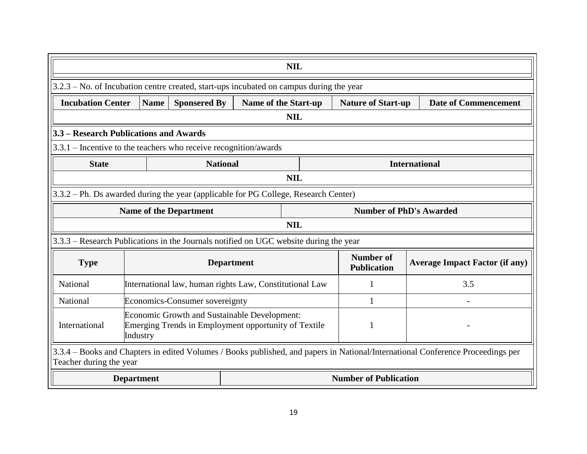|                                                                                                                                                            | <b>NIL</b>                                                                          |                                                         |                   |                             |                                 |                                       |  |  |  |  |
|------------------------------------------------------------------------------------------------------------------------------------------------------------|-------------------------------------------------------------------------------------|---------------------------------------------------------|-------------------|-----------------------------|---------------------------------|---------------------------------------|--|--|--|--|
| $3.2.3$ – No. of Incubation centre created, start-ups incubated on campus during the year                                                                  |                                                                                     |                                                         |                   |                             |                                 |                                       |  |  |  |  |
| <b>Incubation Center</b>                                                                                                                                   | <b>Name</b>                                                                         | <b>Sponsered By</b>                                     |                   | <b>Name of the Start-up</b> | <b>Nature of Start-up</b>       | <b>Date of Commencement</b>           |  |  |  |  |
|                                                                                                                                                            |                                                                                     |                                                         |                   | <b>NIL</b>                  |                                 |                                       |  |  |  |  |
| 3.3 – Research Publications and Awards                                                                                                                     |                                                                                     |                                                         |                   |                             |                                 |                                       |  |  |  |  |
| $3.3.1$ – Incentive to the teachers who receive recognition/awards                                                                                         |                                                                                     |                                                         |                   |                             |                                 |                                       |  |  |  |  |
| <b>International</b><br><b>State</b><br><b>National</b>                                                                                                    |                                                                                     |                                                         |                   |                             |                                 |                                       |  |  |  |  |
|                                                                                                                                                            |                                                                                     |                                                         |                   | <b>NIL</b>                  |                                 |                                       |  |  |  |  |
|                                                                                                                                                            | 3.3.2 – Ph. Ds awarded during the year (applicable for PG College, Research Center) |                                                         |                   |                             |                                 |                                       |  |  |  |  |
|                                                                                                                                                            |                                                                                     | <b>Name of the Department</b>                           |                   |                             | <b>Number of PhD's Awarded</b>  |                                       |  |  |  |  |
|                                                                                                                                                            |                                                                                     |                                                         |                   | <b>NIL</b>                  |                                 |                                       |  |  |  |  |
| 3.3.3 - Research Publications in the Journals notified on UGC website during the year                                                                      |                                                                                     |                                                         |                   |                             |                                 |                                       |  |  |  |  |
| <b>Type</b>                                                                                                                                                |                                                                                     |                                                         | <b>Department</b> |                             | Number of<br><b>Publication</b> | <b>Average Impact Factor (if any)</b> |  |  |  |  |
| National                                                                                                                                                   |                                                                                     | International law, human rights Law, Constitutional Law |                   |                             |                                 | 3.5                                   |  |  |  |  |
| National                                                                                                                                                   |                                                                                     | Economics-Consumer sovereignty                          |                   |                             | $\mathbf{1}$                    |                                       |  |  |  |  |
| <b>Economic Growth and Sustainable Development:</b><br>Emerging Trends in Employment opportunity of Textile<br>International<br>$\mathbf{1}$<br>Industry   |                                                                                     |                                                         |                   |                             |                                 |                                       |  |  |  |  |
| 3.3.4 – Books and Chapters in edited Volumes / Books published, and papers in National/International Conference Proceedings per<br>Teacher during the year |                                                                                     |                                                         |                   |                             |                                 |                                       |  |  |  |  |
|                                                                                                                                                            | <b>Department</b>                                                                   |                                                         |                   |                             | <b>Number of Publication</b>    |                                       |  |  |  |  |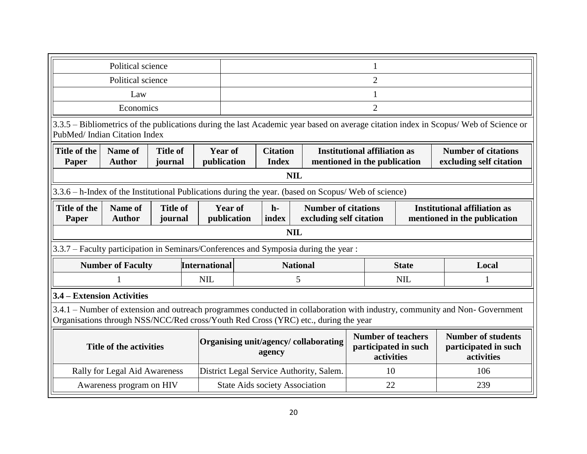|                                                                                                                                                                                                                                                                   | Political science |                      |  |                                       |                                          |                                                                                                                                    |                                                                     |                                                                                                                            |  |
|-------------------------------------------------------------------------------------------------------------------------------------------------------------------------------------------------------------------------------------------------------------------|-------------------|----------------------|--|---------------------------------------|------------------------------------------|------------------------------------------------------------------------------------------------------------------------------------|---------------------------------------------------------------------|----------------------------------------------------------------------------------------------------------------------------|--|
| Political science                                                                                                                                                                                                                                                 |                   |                      |  |                                       |                                          |                                                                                                                                    | $\overline{2}$                                                      |                                                                                                                            |  |
| Law                                                                                                                                                                                                                                                               |                   |                      |  |                                       |                                          |                                                                                                                                    | $\mathbf{1}$                                                        |                                                                                                                            |  |
| Economics                                                                                                                                                                                                                                                         |                   |                      |  |                                       |                                          |                                                                                                                                    | $\overline{2}$                                                      |                                                                                                                            |  |
| 3.3.5 – Bibliometrics of the publications during the last Academic year based on average citation index in Scopus/Web of Science or<br>PubMed/Indian Citation Index                                                                                               |                   |                      |  |                                       |                                          |                                                                                                                                    |                                                                     |                                                                                                                            |  |
| <b>Title of</b><br><b>Citation</b><br>Title of the<br><b>Name of</b><br><b>Year of</b><br><b>Author</b><br>publication<br><b>Index</b><br>Paper<br>journal                                                                                                        |                   |                      |  |                                       |                                          |                                                                                                                                    | <b>Institutional affiliation as</b><br>mentioned in the publication | <b>Number of citations</b><br>excluding self citation                                                                      |  |
|                                                                                                                                                                                                                                                                   |                   |                      |  | <b>NIL</b>                            |                                          |                                                                                                                                    |                                                                     |                                                                                                                            |  |
| 3.3.6 – h-Index of the Institutional Publications during the year. (based on Scopus/ Web of science)                                                                                                                                                              |                   |                      |  |                                       |                                          |                                                                                                                                    |                                                                     |                                                                                                                            |  |
| Title of the<br>Name of<br><b>Title of</b><br><b>Year of</b><br><b>Institutional affiliation as</b><br><b>Number of citations</b><br>$h-$<br>excluding self citation<br><b>Author</b><br>publication<br>index<br>mentioned in the publication<br>Paper<br>journal |                   |                      |  |                                       |                                          |                                                                                                                                    |                                                                     |                                                                                                                            |  |
|                                                                                                                                                                                                                                                                   |                   |                      |  | <b>NIL</b>                            |                                          |                                                                                                                                    |                                                                     |                                                                                                                            |  |
| 3.3.7 – Faculty participation in Seminars/Conferences and Symposia during the year :                                                                                                                                                                              |                   |                      |  |                                       |                                          |                                                                                                                                    |                                                                     |                                                                                                                            |  |
| <b>Number of Faculty</b>                                                                                                                                                                                                                                          |                   | <b>International</b> |  | <b>National</b>                       |                                          |                                                                                                                                    | <b>State</b>                                                        | Local                                                                                                                      |  |
|                                                                                                                                                                                                                                                                   |                   | <b>NIL</b>           |  | 5                                     |                                          | <b>NIL</b>                                                                                                                         |                                                                     |                                                                                                                            |  |
| 3.4 – Extension Activities                                                                                                                                                                                                                                        |                   |                      |  |                                       |                                          |                                                                                                                                    |                                                                     |                                                                                                                            |  |
| Organisations through NSS/NCC/Red cross/Youth Red Cross (YRC) etc., during the year                                                                                                                                                                               |                   |                      |  |                                       |                                          |                                                                                                                                    |                                                                     | 3.4.1 – Number of extension and outreach programmes conducted in collaboration with industry, community and Non-Government |  |
| Organising unit/agency/collaborating<br><b>Title of the activities</b><br>agency                                                                                                                                                                                  |                   |                      |  |                                       |                                          | <b>Number of teachers</b><br><b>Number of students</b><br>participated in such<br>participated in such<br>activities<br>activities |                                                                     |                                                                                                                            |  |
| Rally for Legal Aid Awareness                                                                                                                                                                                                                                     |                   |                      |  |                                       | District Legal Service Authority, Salem. |                                                                                                                                    | 10                                                                  | 106                                                                                                                        |  |
| Awareness program on HIV                                                                                                                                                                                                                                          |                   |                      |  | <b>State Aids society Association</b> |                                          |                                                                                                                                    | 22                                                                  | 239                                                                                                                        |  |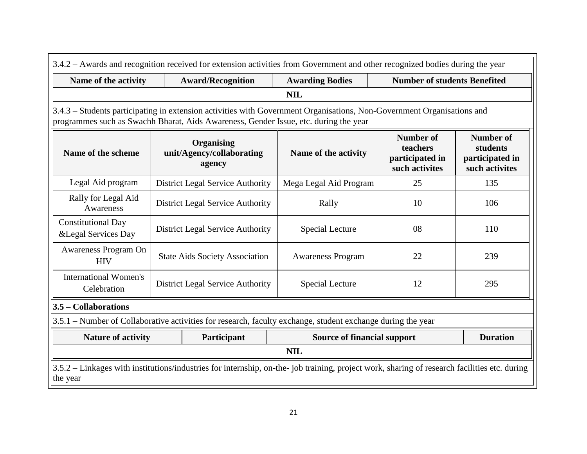| 3.4.2 – Awards and recognition received for extension activities from Government and other recognized bodies during the year                                                                                   |                                                                   |                                                                   |                                                                                                             |                                     |     |  |  |  |  |  |
|----------------------------------------------------------------------------------------------------------------------------------------------------------------------------------------------------------------|-------------------------------------------------------------------|-------------------------------------------------------------------|-------------------------------------------------------------------------------------------------------------|-------------------------------------|-----|--|--|--|--|--|
| Name of the activity                                                                                                                                                                                           |                                                                   | <b>Award/Recognition</b>                                          | <b>Awarding Bodies</b>                                                                                      | <b>Number of students Benefited</b> |     |  |  |  |  |  |
| <b>NIL</b>                                                                                                                                                                                                     |                                                                   |                                                                   |                                                                                                             |                                     |     |  |  |  |  |  |
| 3.4.3 - Students participating in extension activities with Government Organisations, Non-Government Organisations and<br>programmes such as Swachh Bharat, Aids Awareness, Gender Issue, etc. during the year |                                                                   |                                                                   |                                                                                                             |                                     |     |  |  |  |  |  |
| Name of the scheme                                                                                                                                                                                             | <b>Number of</b><br>teachers<br>participated in<br>such activites | <b>Number of</b><br>students<br>participated in<br>such activites |                                                                                                             |                                     |     |  |  |  |  |  |
| Legal Aid program<br>25<br><b>District Legal Service Authority</b><br>Mega Legal Aid Program<br>135                                                                                                            |                                                                   |                                                                   |                                                                                                             |                                     |     |  |  |  |  |  |
| Rally for Legal Aid<br>Awareness                                                                                                                                                                               |                                                                   | <b>District Legal Service Authority</b>                           | Rally                                                                                                       | 10                                  | 106 |  |  |  |  |  |
| <b>Constitutional Day</b><br>& Legal Services Day                                                                                                                                                              |                                                                   | District Legal Service Authority                                  | Special Lecture                                                                                             | 08                                  | 110 |  |  |  |  |  |
| Awareness Program On<br><b>HIV</b>                                                                                                                                                                             |                                                                   | <b>State Aids Society Association</b>                             | <b>Awareness Program</b>                                                                                    | 22                                  | 239 |  |  |  |  |  |
| <b>International Women's</b><br>Celebration                                                                                                                                                                    |                                                                   | <b>District Legal Service Authority</b>                           | <b>Special Lecture</b>                                                                                      | 12                                  | 295 |  |  |  |  |  |
| $3.5$ – Collaborations                                                                                                                                                                                         |                                                                   |                                                                   |                                                                                                             |                                     |     |  |  |  |  |  |
|                                                                                                                                                                                                                |                                                                   |                                                                   | 3.5.1 – Number of Collaborative activities for research, faculty exchange, student exchange during the year |                                     |     |  |  |  |  |  |
| <b>Duration</b><br><b>Nature of activity</b><br>Participant<br><b>Source of financial support</b>                                                                                                              |                                                                   |                                                                   |                                                                                                             |                                     |     |  |  |  |  |  |
| <b>NIL</b>                                                                                                                                                                                                     |                                                                   |                                                                   |                                                                                                             |                                     |     |  |  |  |  |  |
| 3.5.2 – Linkages with institutions/industries for internship, on-the- job training, project work, sharing of research facilities etc. during<br>the year                                                       |                                                                   |                                                                   |                                                                                                             |                                     |     |  |  |  |  |  |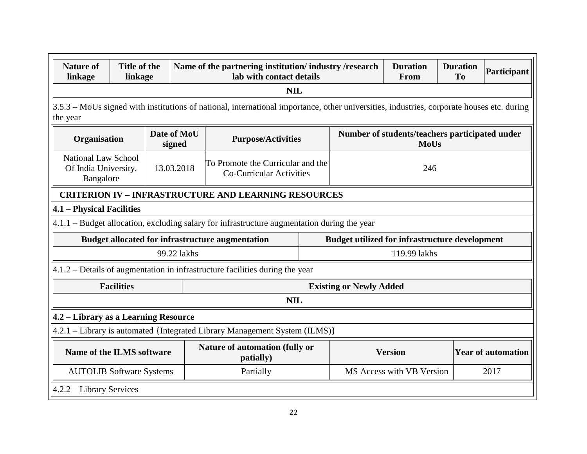| <b>Nature of</b><br>linkage                                                                                                                           | Title of the<br>linkage                                                                                                                   |                       | Name of the partnering institution/industry/research<br><b>Duration</b><br><b>Duration</b><br>lab with contact details<br>From<br><b>To</b> |  |                                                       |                                                               |  |      |  |  |
|-------------------------------------------------------------------------------------------------------------------------------------------------------|-------------------------------------------------------------------------------------------------------------------------------------------|-----------------------|---------------------------------------------------------------------------------------------------------------------------------------------|--|-------------------------------------------------------|---------------------------------------------------------------|--|------|--|--|
|                                                                                                                                                       |                                                                                                                                           |                       | <b>NIL</b>                                                                                                                                  |  |                                                       |                                                               |  |      |  |  |
| the year                                                                                                                                              | 3.5.3 – MoUs signed with institutions of national, international importance, other universities, industries, corporate houses etc. during |                       |                                                                                                                                             |  |                                                       |                                                               |  |      |  |  |
| Organisation                                                                                                                                          |                                                                                                                                           | Date of MoU<br>signed | <b>Purpose/Activities</b>                                                                                                                   |  |                                                       | Number of students/teachers participated under<br><b>MoUs</b> |  |      |  |  |
| <b>National Law School</b><br>To Promote the Curricular and the<br>Of India University,<br>13.03.2018<br><b>Co-Curricular Activities</b><br>Bangalore |                                                                                                                                           |                       |                                                                                                                                             |  |                                                       | 246                                                           |  |      |  |  |
|                                                                                                                                                       |                                                                                                                                           |                       | <b>CRITERION IV - INFRASTRUCTURE AND LEARNING RESOURCES</b>                                                                                 |  |                                                       |                                                               |  |      |  |  |
| 4.1 - Physical Facilities                                                                                                                             |                                                                                                                                           |                       |                                                                                                                                             |  |                                                       |                                                               |  |      |  |  |
|                                                                                                                                                       |                                                                                                                                           |                       | 4.1.1 – Budget allocation, excluding salary for infrastructure augmentation during the year                                                 |  |                                                       |                                                               |  |      |  |  |
|                                                                                                                                                       |                                                                                                                                           |                       | <b>Budget allocated for infrastructure augmentation</b>                                                                                     |  | <b>Budget utilized for infrastructure development</b> |                                                               |  |      |  |  |
|                                                                                                                                                       |                                                                                                                                           | 99.22 lakhs           |                                                                                                                                             |  |                                                       | 119.99 lakhs                                                  |  |      |  |  |
|                                                                                                                                                       |                                                                                                                                           |                       | 4.1.2 – Details of augmentation in infrastructure facilities during the year                                                                |  |                                                       |                                                               |  |      |  |  |
|                                                                                                                                                       | <b>Facilities</b>                                                                                                                         |                       |                                                                                                                                             |  | <b>Existing or Newly Added</b>                        |                                                               |  |      |  |  |
|                                                                                                                                                       |                                                                                                                                           |                       | <b>NIL</b>                                                                                                                                  |  |                                                       |                                                               |  |      |  |  |
| 4.2 – Library as a Learning Resource                                                                                                                  |                                                                                                                                           |                       |                                                                                                                                             |  |                                                       |                                                               |  |      |  |  |
|                                                                                                                                                       |                                                                                                                                           |                       | 4.2.1 – Library is automated {Integrated Library Management System (ILMS)}                                                                  |  |                                                       |                                                               |  |      |  |  |
|                                                                                                                                                       | Nature of automation (fully or<br>Name of the ILMS software<br>patially)                                                                  |                       |                                                                                                                                             |  |                                                       | <b>Year of automation</b><br><b>Version</b>                   |  |      |  |  |
| <b>AUTOLIB Software Systems</b><br>Partially                                                                                                          |                                                                                                                                           |                       |                                                                                                                                             |  |                                                       | MS Access with VB Version                                     |  | 2017 |  |  |
| $4.2.2 - Library Services$                                                                                                                            |                                                                                                                                           |                       |                                                                                                                                             |  |                                                       |                                                               |  |      |  |  |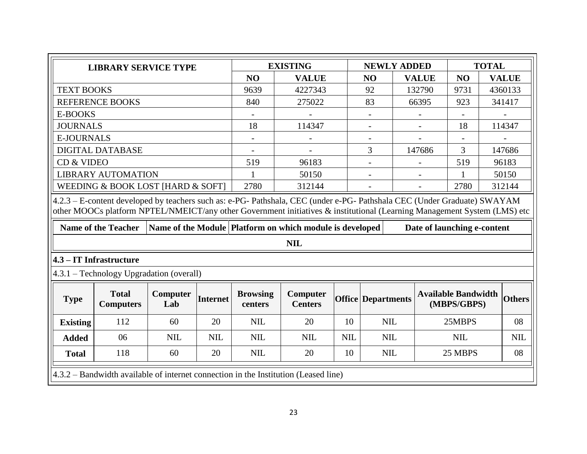|                                                | <b>LIBRARY SERVICE TYPE</b>                                                                                                                                                                                                                                                        |                 |                 |                            | <b>EXISTING</b>                                                        |            | <b>NEWLY ADDED</b>        |                             |                                           | <b>TOTAL</b> |               |
|------------------------------------------------|------------------------------------------------------------------------------------------------------------------------------------------------------------------------------------------------------------------------------------------------------------------------------------|-----------------|-----------------|----------------------------|------------------------------------------------------------------------|------------|---------------------------|-----------------------------|-------------------------------------------|--------------|---------------|
|                                                |                                                                                                                                                                                                                                                                                    |                 |                 | N <sub>O</sub>             | <b>VALUE</b>                                                           |            | NO                        | <b>VALUE</b>                | NO                                        |              | <b>VALUE</b>  |
| <b>TEXT BOOKS</b>                              |                                                                                                                                                                                                                                                                                    |                 |                 | 9639                       | 4227343                                                                |            | 92                        | 132790                      | 9731                                      |              | 4360133       |
|                                                | <b>REFERENCE BOOKS</b>                                                                                                                                                                                                                                                             |                 |                 | 840                        | 275022                                                                 |            | 83                        | 66395                       | 923                                       |              | 341417        |
| <b>E-BOOKS</b>                                 |                                                                                                                                                                                                                                                                                    |                 |                 |                            |                                                                        |            |                           |                             |                                           |              |               |
| <b>JOURNALS</b>                                |                                                                                                                                                                                                                                                                                    |                 |                 | 18                         | 114347                                                                 |            | $\overline{\phantom{a}}$  |                             | 18                                        |              | 114347        |
| <b>E-JOURNALS</b>                              |                                                                                                                                                                                                                                                                                    |                 |                 |                            |                                                                        |            | $\overline{\phantom{0}}$  |                             |                                           |              |               |
|                                                | <b>DIGITAL DATABASE</b>                                                                                                                                                                                                                                                            |                 |                 |                            |                                                                        |            | 3                         | 147686                      | 3                                         |              | 147686        |
| CD & VIDEO                                     |                                                                                                                                                                                                                                                                                    |                 |                 | 519                        | 96183                                                                  |            | $\overline{\phantom{0}}$  |                             | 519                                       |              | 96183         |
|                                                | <b>LIBRARY AUTOMATION</b>                                                                                                                                                                                                                                                          |                 |                 |                            | 50150                                                                  |            |                           |                             | 1                                         |              | 50150         |
|                                                | WEEDING & BOOK LOST [HARD & SOFT]                                                                                                                                                                                                                                                  |                 |                 | 2780                       | 312144                                                                 |            | $\overline{\phantom{a}}$  | $\overline{\phantom{a}}$    | 2780                                      |              | 312144        |
|                                                | 4.2.3 - E-content developed by teachers such as: e-PG- Pathshala, CEC (under e-PG- Pathshala CEC (Under Graduate) SWAYAM<br>other MOOCs platform NPTEL/NMEICT/any other Government initiatives & institutional (Learning Management System (LMS) etc<br><b>Name of the Teacher</b> |                 |                 |                            | Name of the Module Platform on which module is developed<br><b>NIL</b> |            |                           | Date of launching e-content |                                           |              |               |
|                                                | $4.3 - IT$ Infrastructure                                                                                                                                                                                                                                                          |                 |                 |                            |                                                                        |            |                           |                             |                                           |              |               |
|                                                | 4.3.1 – Technology Upgradation (overall)                                                                                                                                                                                                                                           |                 |                 |                            |                                                                        |            |                           |                             |                                           |              |               |
| <b>Type</b>                                    | <b>Total</b><br><b>Computers</b>                                                                                                                                                                                                                                                   | Computer<br>Lab | <b>Internet</b> | <b>Browsing</b><br>centers | Computer<br><b>Centers</b>                                             |            | <b>Office Departments</b> |                             | <b>Available Bandwidth</b><br>(MBPS/GBPS) |              | <b>Others</b> |
| <b>Existing</b>                                | 20<br>112<br>60                                                                                                                                                                                                                                                                    |                 |                 |                            | 20                                                                     | 10         | <b>NIL</b>                |                             | 25MBPS                                    |              | 08            |
| 06<br><b>NIL</b><br><b>NIL</b><br><b>Added</b> |                                                                                                                                                                                                                                                                                    |                 |                 | <b>NIL</b>                 | <b>NIL</b>                                                             | <b>NIL</b> | <b>NIL</b>                |                             | <b>NIL</b>                                |              | <b>NIL</b>    |
| <b>Total</b>                                   | 118                                                                                                                                                                                                                                                                                | 60              | 20              | <b>NIL</b>                 | 20                                                                     | 10         | <b>NIL</b>                |                             | 25 MBPS                                   |              | 08            |
|                                                | 4.3.2 – Bandwidth available of internet connection in the Institution (Leased line)                                                                                                                                                                                                |                 |                 |                            |                                                                        |            |                           |                             |                                           |              |               |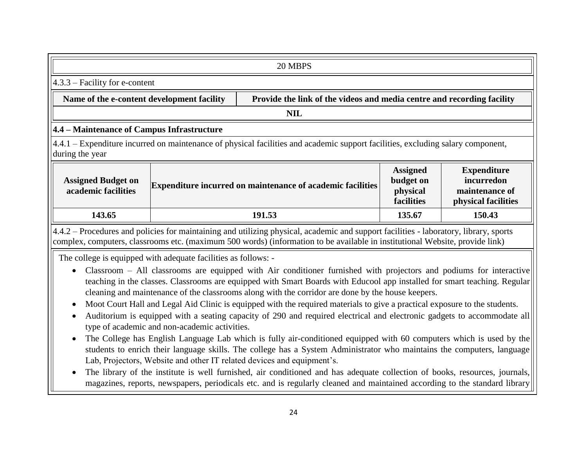| 20 MBPS                                                                                                                                                                                                                                                               |                                  |                                                                   |                                                        |                                                                           |  |  |  |  |  |  |
|-----------------------------------------------------------------------------------------------------------------------------------------------------------------------------------------------------------------------------------------------------------------------|----------------------------------|-------------------------------------------------------------------|--------------------------------------------------------|---------------------------------------------------------------------------|--|--|--|--|--|--|
|                                                                                                                                                                                                                                                                       | $4.3.3$ – Facility for e-content |                                                                   |                                                        |                                                                           |  |  |  |  |  |  |
| Name of the e-content development facility<br>Provide the link of the videos and media centre and recording facility                                                                                                                                                  |                                  |                                                                   |                                                        |                                                                           |  |  |  |  |  |  |
|                                                                                                                                                                                                                                                                       | <b>NIL</b>                       |                                                                   |                                                        |                                                                           |  |  |  |  |  |  |
| 4.4 – Maintenance of Campus Infrastructure                                                                                                                                                                                                                            |                                  |                                                                   |                                                        |                                                                           |  |  |  |  |  |  |
| 4.4.1 – Expenditure incurred on maintenance of physical facilities and academic support facilities, excluding salary component,<br>during the year                                                                                                                    |                                  |                                                                   |                                                        |                                                                           |  |  |  |  |  |  |
| <b>Assigned Budget on</b><br>academic facilities                                                                                                                                                                                                                      |                                  | <b>Expenditure incurred on maintenance of academic facilities</b> | <b>Assigned</b><br>budget on<br>physical<br>facilities | <b>Expenditure</b><br>incurredon<br>maintenance of<br>physical facilities |  |  |  |  |  |  |
| 143.65<br>191.53<br>150.43<br>135.67                                                                                                                                                                                                                                  |                                  |                                                                   |                                                        |                                                                           |  |  |  |  |  |  |
| 4.4.2 – Procedures and policies for maintaining and utilizing physical, academic and support facilities - laboratory, library, sports<br>complex, computers, classrooms etc. (maximum 500 words) (information to be available in institutional Website, provide link) |                                  |                                                                   |                                                        |                                                                           |  |  |  |  |  |  |
| The college is equipped with adequate facilities as follows: -                                                                                                                                                                                                        |                                  |                                                                   |                                                        |                                                                           |  |  |  |  |  |  |

- Classroom All classrooms are equipped with Air conditioner furnished with projectors and podiums for interactive teaching in the classes. Classrooms are equipped with Smart Boards with Educool app installed for smart teaching. Regular cleaning and maintenance of the classrooms along with the corridor are done by the house keepers.
- Moot Court Hall and Legal Aid Clinic is equipped with the required materials to give a practical exposure to the students.
- Auditorium is equipped with a seating capacity of 290 and required electrical and electronic gadgets to accommodate all type of academic and non-academic activities.
- The College has English Language Lab which is fully air-conditioned equipped with 60 computers which is used by the students to enrich their language skills. The college has a System Administrator who maintains the computers, language Lab, Projectors, Website and other IT related devices and equipment's.
- The library of the institute is well furnished, air conditioned and has adequate collection of books, resources, journals, magazines, reports, newspapers, periodicals etc. and is regularly cleaned and maintained according to the standard library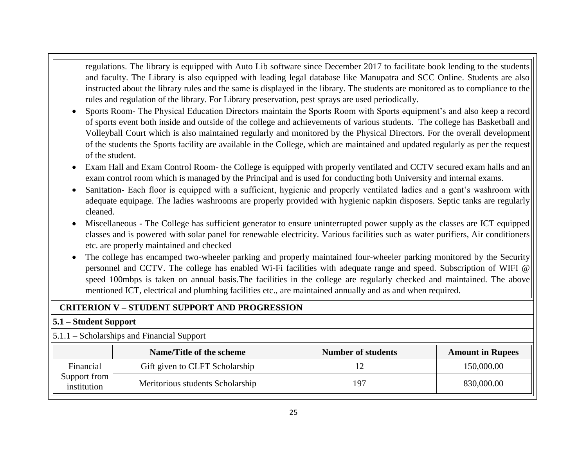regulations. The library is equipped with Auto Lib software since December 2017 to facilitate book lending to the students and faculty. The Library is also equipped with leading legal database like Manupatra and SCC Online. Students are also instructed about the library rules and the same is displayed in the library. The students are monitored as to compliance to the rules and regulation of the library. For Library preservation, pest sprays are used periodically.

- Sports Room- The Physical Education Directors maintain the Sports Room with Sports equipment's and also keep a record of sports event both inside and outside of the college and achievements of various students. The college has Basketball and Volleyball Court which is also maintained regularly and monitored by the Physical Directors. For the overall development of the students the Sports facility are available in the College, which are maintained and updated regularly as per the request of the student.
- Exam Hall and Exam Control Room- the College is equipped with properly ventilated and CCTV secured exam halls and an exam control room which is managed by the Principal and is used for conducting both University and internal exams.
- Sanitation- Each floor is equipped with a sufficient, hygienic and properly ventilated ladies and a gent's washroom with adequate equipage. The ladies washrooms are properly provided with hygienic napkin disposers. Septic tanks are regularly cleaned.
- Miscellaneous The College has sufficient generator to ensure uninterrupted power supply as the classes are ICT equipped classes and is powered with solar panel for renewable electricity. Various facilities such as water purifiers, Air conditioners etc. are properly maintained and checked
- The college has encamped two-wheeler parking and properly maintained four-wheeler parking monitored by the Security personnel and CCTV. The college has enabled Wi-Fi facilities with adequate range and speed. Subscription of WIFI @ speed 100mbps is taken on annual basis.The facilities in the college are regularly checked and maintained. The above mentioned ICT, electrical and plumbing facilities etc., are maintained annually and as and when required.

## **CRITERION V – STUDENT SUPPORT AND PROGRESSION**

### **5.1 – Student Support**

5.1.1 – Scholarships and Financial Support

|                             | Name/Title of the scheme         | <b>Number of students</b> | <b>Amount in Rupees</b> |
|-----------------------------|----------------------------------|---------------------------|-------------------------|
| Financial                   | Gift given to CLFT Scholarship   |                           | 150,000.00              |
| Support from<br>institution | Meritorious students Scholarship | 197                       | 830,000.00              |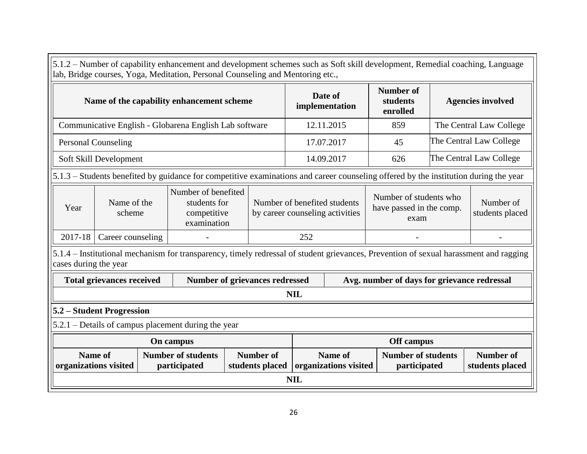|                           |                                                                                                                                                                                                                                                     |  | lab, Bridge courses, Yoga, Meditation, Personal Counseling and Mentoring etc., |  |                                       |            |                                                                 |                                                            |  | 5.1.2 – Number of capability enhancement and development schemes such as Soft skill development, Remedial coaching, Language          |
|---------------------------|-----------------------------------------------------------------------------------------------------------------------------------------------------------------------------------------------------------------------------------------------------|--|--------------------------------------------------------------------------------|--|---------------------------------------|------------|-----------------------------------------------------------------|------------------------------------------------------------|--|---------------------------------------------------------------------------------------------------------------------------------------|
|                           | Name of the capability enhancement scheme                                                                                                                                                                                                           |  |                                                                                |  |                                       |            | Date of<br>implementation                                       | <b>Number of</b><br>students<br>enrolled                   |  | <b>Agencies involved</b>                                                                                                              |
|                           | Communicative English - Globarena English Lab software                                                                                                                                                                                              |  |                                                                                |  |                                       |            | 12.11.2015                                                      | 859                                                        |  | The Central Law College                                                                                                               |
|                           | <b>Personal Counseling</b>                                                                                                                                                                                                                          |  |                                                                                |  |                                       |            | 17.07.2017                                                      | 45                                                         |  | The Central Law College                                                                                                               |
|                           | Soft Skill Development                                                                                                                                                                                                                              |  |                                                                                |  |                                       |            | 14.09.2017                                                      | 626                                                        |  | The Central Law College                                                                                                               |
|                           | 5.1.3 – Students benefited by guidance for competitive examinations and career counseling offered by the institution during the year                                                                                                                |  |                                                                                |  |                                       |            |                                                                 |                                                            |  |                                                                                                                                       |
| Year                      | Number of benefited<br>Name of the<br>students for<br>scheme<br>competitive<br>examination                                                                                                                                                          |  |                                                                                |  |                                       |            | Number of benefited students<br>by career counseling activities | Number of students who<br>have passed in the comp.<br>exam |  | Number of<br>students placed                                                                                                          |
| 2017-18                   | Career counseling                                                                                                                                                                                                                                   |  |                                                                                |  |                                       | 252        |                                                                 |                                                            |  |                                                                                                                                       |
| cases during the year     |                                                                                                                                                                                                                                                     |  |                                                                                |  |                                       |            |                                                                 |                                                            |  | 5.1.4 – Institutional mechanism for transparency, timely redressal of student grievances, Prevention of sexual harassment and ragging |
|                           | <b>Total grievances received</b>                                                                                                                                                                                                                    |  |                                                                                |  | <b>Number of grievances redressed</b> |            |                                                                 | Avg. number of days for grievance redressal                |  |                                                                                                                                       |
|                           |                                                                                                                                                                                                                                                     |  |                                                                                |  |                                       | NIL        |                                                                 |                                                            |  |                                                                                                                                       |
| 5.2 – Student Progression |                                                                                                                                                                                                                                                     |  |                                                                                |  |                                       |            |                                                                 |                                                            |  |                                                                                                                                       |
|                           |                                                                                                                                                                                                                                                     |  | 5.2.1 – Details of campus placement during the year                            |  |                                       |            |                                                                 |                                                            |  |                                                                                                                                       |
| On campus<br>Off campus   |                                                                                                                                                                                                                                                     |  |                                                                                |  |                                       |            |                                                                 |                                                            |  |                                                                                                                                       |
|                           | <b>Name of</b><br><b>Number of students</b><br><b>Number of</b><br>Name of<br><b>Number of students</b><br><b>Number of</b><br>organizations visited<br>participated<br>students placed<br>organizations visited<br>participated<br>students placed |  |                                                                                |  |                                       |            |                                                                 |                                                            |  |                                                                                                                                       |
|                           |                                                                                                                                                                                                                                                     |  |                                                                                |  |                                       | <b>NIL</b> |                                                                 |                                                            |  |                                                                                                                                       |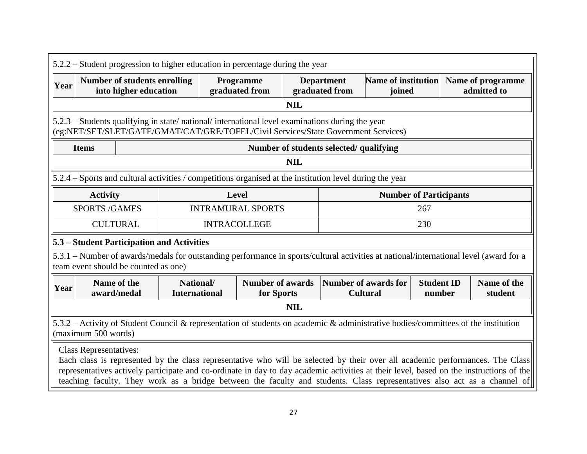| $5.2.2$ – Student progression to higher education in percentage during the year                                                                                                      |                                                              |                                   |                                 |                                       |            |                                                                             |                                                |                             |  |                                                                                                                                                                                                                                                                                                                                                                                                      |  |
|--------------------------------------------------------------------------------------------------------------------------------------------------------------------------------------|--------------------------------------------------------------|-----------------------------------|---------------------------------|---------------------------------------|------------|-----------------------------------------------------------------------------|------------------------------------------------|-----------------------------|--|------------------------------------------------------------------------------------------------------------------------------------------------------------------------------------------------------------------------------------------------------------------------------------------------------------------------------------------------------------------------------------------------------|--|
| Year                                                                                                                                                                                 | <b>Number of students enrolling</b><br>into higher education |                                   |                                 | Programme<br>graduated from           |            | <b>Department</b><br><b>Name of institution</b><br>graduated from<br>joined |                                                |                             |  | Name of programme<br>admitted to                                                                                                                                                                                                                                                                                                                                                                     |  |
|                                                                                                                                                                                      |                                                              |                                   |                                 |                                       | <b>NIL</b> |                                                                             |                                                |                             |  |                                                                                                                                                                                                                                                                                                                                                                                                      |  |
| 5.2.3 – Students qualifying in state/national/international level examinations during the year<br>(eg:NET/SET/SLET/GATE/GMAT/CAT/GRE/TOFEL/Civil Services/State Government Services) |                                                              |                                   |                                 |                                       |            |                                                                             |                                                |                             |  |                                                                                                                                                                                                                                                                                                                                                                                                      |  |
| Number of students selected/ qualifying<br><b>Items</b>                                                                                                                              |                                                              |                                   |                                 |                                       |            |                                                                             |                                                |                             |  |                                                                                                                                                                                                                                                                                                                                                                                                      |  |
| <b>NIL</b>                                                                                                                                                                           |                                                              |                                   |                                 |                                       |            |                                                                             |                                                |                             |  |                                                                                                                                                                                                                                                                                                                                                                                                      |  |
| 5.2.4 – Sports and cultural activities / competitions organised at the institution level during the year                                                                             |                                                              |                                   |                                 |                                       |            |                                                                             |                                                |                             |  |                                                                                                                                                                                                                                                                                                                                                                                                      |  |
| <b>Number of Participants</b><br><b>Activity</b><br>Level                                                                                                                            |                                                              |                                   |                                 |                                       |            |                                                                             |                                                |                             |  |                                                                                                                                                                                                                                                                                                                                                                                                      |  |
| <b>SPORTS/GAMES</b>                                                                                                                                                                  |                                                              |                                   | <b>INTRAMURAL SPORTS</b><br>267 |                                       |            |                                                                             |                                                |                             |  |                                                                                                                                                                                                                                                                                                                                                                                                      |  |
|                                                                                                                                                                                      | <b>CULTURAL</b>                                              |                                   | <b>INTRACOLLEGE</b>             |                                       |            |                                                                             |                                                | 230                         |  |                                                                                                                                                                                                                                                                                                                                                                                                      |  |
| 5.3 – Student Participation and Activities                                                                                                                                           |                                                              |                                   |                                 |                                       |            |                                                                             |                                                |                             |  |                                                                                                                                                                                                                                                                                                                                                                                                      |  |
| 5.3.1 – Number of awards/medals for outstanding performance in sports/cultural activities at national/international level (award for a<br>team event should be counted as one)       |                                                              |                                   |                                 |                                       |            |                                                                             |                                                |                             |  |                                                                                                                                                                                                                                                                                                                                                                                                      |  |
| Year                                                                                                                                                                                 | Name of the<br>award/medal                                   | National/<br><b>International</b> |                                 | <b>Number of awards</b><br>for Sports |            |                                                                             | <b>Number of awards for</b><br><b>Cultural</b> | <b>Student ID</b><br>number |  | Name of the<br>student                                                                                                                                                                                                                                                                                                                                                                               |  |
|                                                                                                                                                                                      |                                                              |                                   |                                 |                                       | <b>NIL</b> |                                                                             |                                                |                             |  |                                                                                                                                                                                                                                                                                                                                                                                                      |  |
| 5.3.2 - Activity of Student Council & representation of students on academic & administrative bodies/committees of the institution<br>(maximum 500 words)                            |                                                              |                                   |                                 |                                       |            |                                                                             |                                                |                             |  |                                                                                                                                                                                                                                                                                                                                                                                                      |  |
| Class Representatives:                                                                                                                                                               |                                                              |                                   |                                 |                                       |            |                                                                             |                                                |                             |  | Each class is represented by the class representative who will be selected by their over all academic performances. The Class<br>representatives actively participate and co-ordinate in day to day academic activities at their level, based on the instructions of the<br>teaching faculty. They work as a bridge between the faculty and students. Class representatives also act as a channel of |  |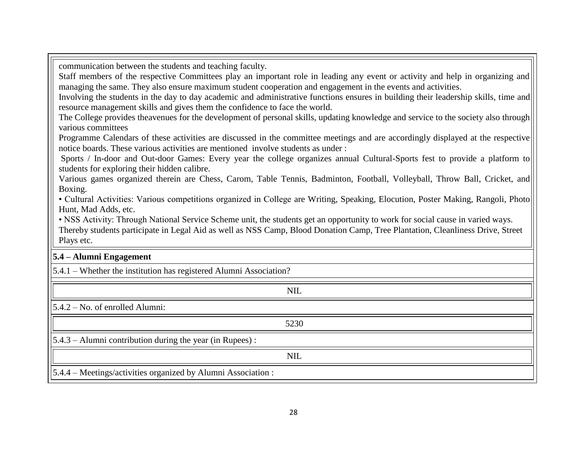communication between the students and teaching faculty.

Staff members of the respective Committees play an important role in leading any event or activity and help in organizing and managing the same. They also ensure maximum student cooperation and engagement in the events and activities.

Involving the students in the day to day academic and administrative functions ensures in building their leadership skills, time and resource management skills and gives them the confidence to face the world.

The College provides theavenues for the development of personal skills, updating knowledge and service to the society also through various committees

Programme Calendars of these activities are discussed in the committee meetings and are accordingly displayed at the respective notice boards. These various activities are mentioned involve students as under :

Sports / In-door and Out-door Games: Every year the college organizes annual Cultural-Sports fest to provide a platform to students for exploring their hidden calibre.

Various games organized therein are Chess, Carom, Table Tennis, Badminton, Football, Volleyball, Throw Ball, Cricket, and Boxing.

• Cultural Activities: Various competitions organized in College are Writing, Speaking, Elocution, Poster Making, Rangoli, Photo Hunt, Mad Adds, etc.

• NSS Activity: Through National Service Scheme unit, the students get an opportunity to work for social cause in varied ways.

Thereby students participate in Legal Aid as well as NSS Camp, Blood Donation Camp, Tree Plantation, Cleanliness Drive, Street Plays etc.

### **5.4 – Alumni Engagement**

5.4.1 – Whether the institution has registered Alumni Association?

| <b>NIL</b>                                                    |
|---------------------------------------------------------------|
| $5.4.2 - No.$ of enrolled Alumni:                             |
| 5230                                                          |
| $ 5.4.3 -$ Alumni contribution during the year (in Rupees) :  |
| <b>NIL</b>                                                    |
| 5.4.4 – Meetings/activities organized by Alumni Association : |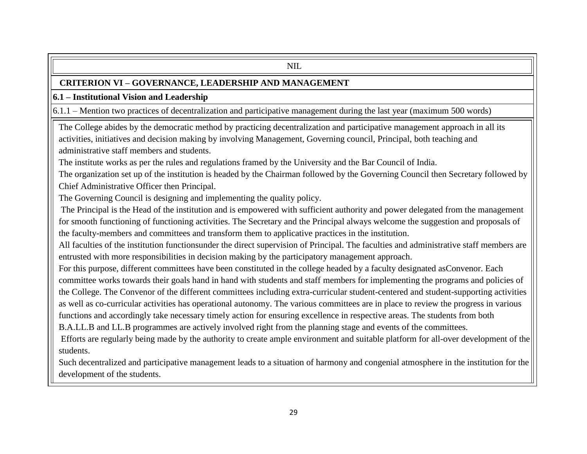#### NIL

### **CRITERION VI – GOVERNANCE, LEADERSHIP AND MANAGEMENT**

### **6.1 – Institutional Vision and Leadership**

6.1.1 – Mention two practices of decentralization and participative management during the last year (maximum 500 words)

The College abides by the democratic method by practicing decentralization and participative management approach in all its activities, initiatives and decision making by involving Management, Governing council, Principal, both teaching and administrative staff members and students.

The institute works as per the rules and regulations framed by the University and the Bar Council of India.

The organization set up of the institution is headed by the Chairman followed by the Governing Council then Secretary followed by Chief Administrative Officer then Principal.

The Governing Council is designing and implementing the quality policy.

The Principal is the Head of the institution and is empowered with sufficient authority and power delegated from the management for smooth functioning of functioning activities. The Secretary and the Principal always welcome the suggestion and proposals of the faculty-members and committees and transform them to applicative practices in the institution.

All faculties of the institution functionsunder the direct supervision of Principal. The faculties and administrative staff members are entrusted with more responsibilities in decision making by the participatory management approach.

For this purpose, different committees have been constituted in the college headed by a faculty designated asConvenor. Each committee works towards their goals hand in hand with students and staff members for implementing the programs and policies of the College. The Convenor of the different committees including extra-curricular student-centered and student-supporting activities as well as co-curricular activities has operational autonomy. The various committees are in place to review the progress in various functions and accordingly take necessary timely action for ensuring excellence in respective areas. The students from both B.A.LL.B and LL.B programmes are actively involved right from the planning stage and events of the committees.

Efforts are regularly being made by the authority to create ample environment and suitable platform for all-over development of the students.

Such decentralized and participative management leads to a situation of harmony and congenial atmosphere in the institution for the development of the students.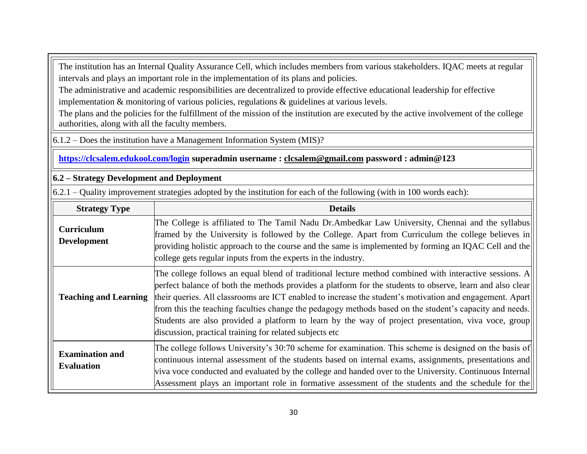The institution has an Internal Quality Assurance Cell, which includes members from various stakeholders. IQAC meets at regular intervals and plays an important role in the implementation of its plans and policies.

The administrative and academic responsibilities are decentralized to provide effective educational leadership for effective implementation & monitoring of various policies, regulations & guidelines at various levels.

The plans and the policies for the fulfillment of the mission of the institution are executed by the active involvement of the college authorities, along with all the faculty members.

6.1.2 – Does the institution have a Management Information System (MIS)?

### **<https://clcsalem.edukool.com/login> superadmin username : [clcsalem@gmail.com](mailto:clcsalem@gmail.com) password : admin@123**

### **6.2 – Strategy Development and Deployment**

 $6.2.1$  – Quality improvement strategies adopted by the institution for each of the following (with in 100 words each):

| <b>Strategy Type</b>                        | <b>Details</b>                                                                                                                                                                                                                                                                                                                                                                                                                                                                                                                                                                                               |
|---------------------------------------------|--------------------------------------------------------------------------------------------------------------------------------------------------------------------------------------------------------------------------------------------------------------------------------------------------------------------------------------------------------------------------------------------------------------------------------------------------------------------------------------------------------------------------------------------------------------------------------------------------------------|
| <b>Curriculum</b><br><b>Development</b>     | The College is affiliated to The Tamil Nadu Dr.Ambedkar Law University, Chennai and the syllabus<br>framed by the University is followed by the College. Apart from Curriculum the college believes in<br>providing holistic approach to the course and the same is implemented by forming an IQAC Cell and the<br>college gets regular inputs from the experts in the industry.                                                                                                                                                                                                                             |
| <b>Teaching and Learning</b>                | The college follows an equal blend of traditional lecture method combined with interactive sessions. A<br>perfect balance of both the methods provides a platform for the students to observe, learn and also clear<br>their queries. All classrooms are ICT enabled to increase the student's motivation and engagement. Apart<br>from this the teaching faculties change the pedagogy methods based on the student's capacity and needs.<br>Students are also provided a platform to learn by the way of project presentation, viva voce, group<br>discussion, practical training for related subjects etc |
| <b>Examination and</b><br><b>Evaluation</b> | The college follows University's 30:70 scheme for examination. This scheme is designed on the basis of<br>continuous internal assessment of the students based on internal exams, assignments, presentations and<br>viva voce conducted and evaluated by the college and handed over to the University. Continuous Internal<br>Assessment plays an important role in formative assessment of the students and the schedule for the                                                                                                                                                                           |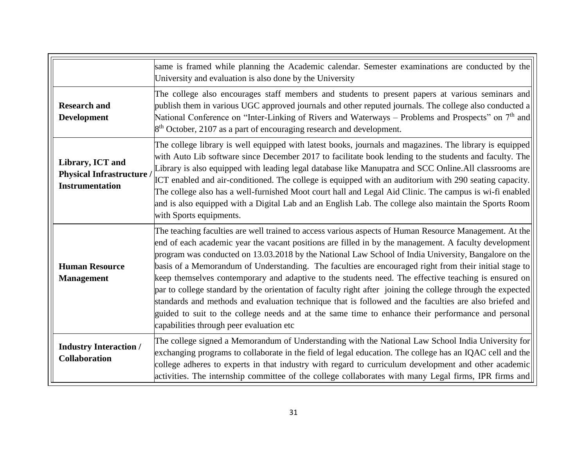|                                                                                | same is framed while planning the Academic calendar. Semester examinations are conducted by the<br>University and evaluation is also done by the University                                                                                                                                                                                                                                                                                                                                                                                                                                                                                                                                                                                                                                                                                                                                                         |
|--------------------------------------------------------------------------------|---------------------------------------------------------------------------------------------------------------------------------------------------------------------------------------------------------------------------------------------------------------------------------------------------------------------------------------------------------------------------------------------------------------------------------------------------------------------------------------------------------------------------------------------------------------------------------------------------------------------------------------------------------------------------------------------------------------------------------------------------------------------------------------------------------------------------------------------------------------------------------------------------------------------|
| <b>Research and</b><br><b>Development</b>                                      | The college also encourages staff members and students to present papers at various seminars and<br>publish them in various UGC approved journals and other reputed journals. The college also conducted a<br>National Conference on "Inter-Linking of Rivers and Waterways – Problems and Prospects" on 7 <sup>th</sup> and<br>$8th$ October, 2107 as a part of encouraging research and development.                                                                                                                                                                                                                                                                                                                                                                                                                                                                                                              |
| Library, ICT and<br><b>Physical Infrastructure</b> /<br><b>Instrumentation</b> | The college library is well equipped with latest books, journals and magazines. The library is equipped<br>with Auto Lib software since December 2017 to facilitate book lending to the students and faculty. The<br>Library is also equipped with leading legal database like Manupatra and SCC Online. All classrooms are<br>ICT enabled and air-conditioned. The college is equipped with an auditorium with 290 seating capacity.<br>The college also has a well-furnished Moot court hall and Legal Aid Clinic. The campus is wi-fi enabled<br>and is also equipped with a Digital Lab and an English Lab. The college also maintain the Sports Room<br>with Sports equipments.                                                                                                                                                                                                                                |
| <b>Human Resource</b><br><b>Management</b>                                     | The teaching faculties are well trained to access various aspects of Human Resource Management. At the<br>end of each academic year the vacant positions are filled in by the management. A faculty development<br>program was conducted on 13.03.2018 by the National Law School of India University, Bangalore on the<br>basis of a Memorandum of Understanding. The faculties are encouraged right from their initial stage to<br>keep themselves contemporary and adaptive to the students need. The effective teaching is ensured on<br>par to college standard by the orientation of faculty right after joining the college through the expected<br>standards and methods and evaluation technique that is followed and the faculties are also briefed and<br>guided to suit to the college needs and at the same time to enhance their performance and personal<br>capabilities through peer evaluation etc |
| <b>Industry Interaction /</b><br><b>Collaboration</b>                          | The college signed a Memorandum of Understanding with the National Law School India University for<br>exchanging programs to collaborate in the field of legal education. The college has an IQAC cell and the<br>college adheres to experts in that industry with regard to curriculum development and other academic<br>activities. The internship committee of the college collaborates with many Legal firms, IPR firms and                                                                                                                                                                                                                                                                                                                                                                                                                                                                                     |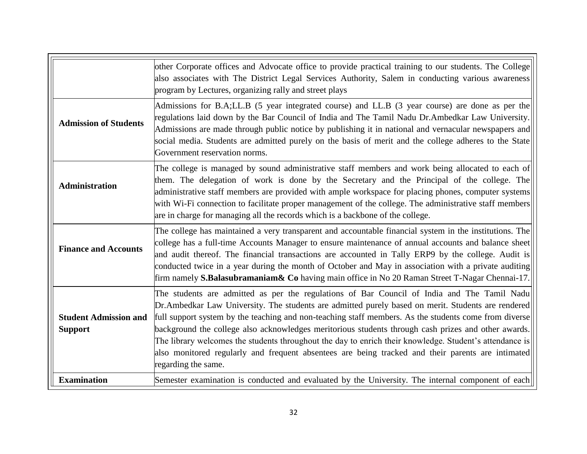|                                                | other Corporate offices and Advocate office to provide practical training to our students. The College<br>also associates with The District Legal Services Authority, Salem in conducting various awareness<br>program by Lectures, organizing rally and street plays                                                                                                                                                                                                                                                                                                                                                                                    |
|------------------------------------------------|----------------------------------------------------------------------------------------------------------------------------------------------------------------------------------------------------------------------------------------------------------------------------------------------------------------------------------------------------------------------------------------------------------------------------------------------------------------------------------------------------------------------------------------------------------------------------------------------------------------------------------------------------------|
| <b>Admission of Students</b>                   | Admissions for B.A;LL.B (5 year integrated course) and LL.B (3 year course) are done as per the<br>regulations laid down by the Bar Council of India and The Tamil Nadu Dr. Ambedkar Law University.<br>Admissions are made through public notice by publishing it in national and vernacular newspapers and<br>social media. Students are admitted purely on the basis of merit and the college adheres to the State<br>Government reservation norms.                                                                                                                                                                                                   |
| <b>Administration</b>                          | The college is managed by sound administrative staff members and work being allocated to each of<br>them. The delegation of work is done by the Secretary and the Principal of the college. The<br>administrative staff members are provided with ample workspace for placing phones, computer systems<br>with Wi-Fi connection to facilitate proper management of the college. The administrative staff members<br>are in charge for managing all the records which is a backbone of the college.                                                                                                                                                       |
| <b>Finance and Accounts</b>                    | The college has maintained a very transparent and accountable financial system in the institutions. The<br>college has a full-time Accounts Manager to ensure maintenance of annual accounts and balance sheet<br>and audit thereof. The financial transactions are accounted in Tally ERP9 by the college. Audit is<br>conducted twice in a year during the month of October and May in association with a private auditing<br>firm namely <b>S.Balasubramaniam &amp; Co</b> having main office in No 20 Raman Street T-Nagar Chennai-17.                                                                                                               |
| <b>Student Admission and</b><br><b>Support</b> | The students are admitted as per the regulations of Bar Council of India and The Tamil Nadu<br>Dr.Ambedkar Law University. The students are admitted purely based on merit. Students are rendered<br>full support system by the teaching and non-teaching staff members. As the students come from diverse<br>background the college also acknowledges meritorious students through cash prizes and other awards.<br>The library welcomes the students throughout the day to enrich their knowledge. Student's attendance is<br>also monitored regularly and frequent absentees are being tracked and their parents are intimated<br>regarding the same. |
| <b>Examination</b>                             | Semester examination is conducted and evaluated by the University. The internal component of each                                                                                                                                                                                                                                                                                                                                                                                                                                                                                                                                                        |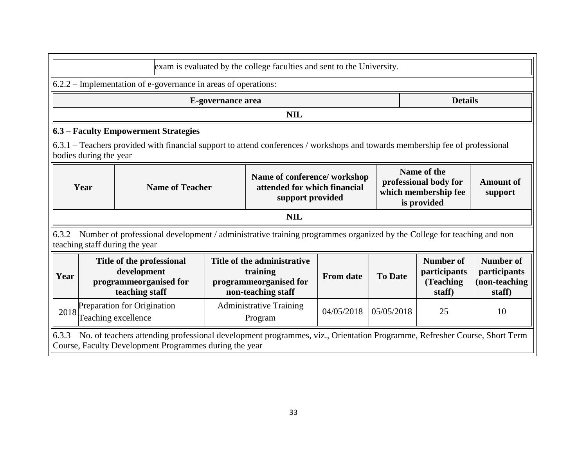|                                                                                                                                                                                                                               | exam is evaluated by the college faculties and sent to the University.                                                                                                                     |                                                                                                                                                                 |  |            |                                                   |                                                             |  |  |
|-------------------------------------------------------------------------------------------------------------------------------------------------------------------------------------------------------------------------------|--------------------------------------------------------------------------------------------------------------------------------------------------------------------------------------------|-----------------------------------------------------------------------------------------------------------------------------------------------------------------|--|------------|---------------------------------------------------|-------------------------------------------------------------|--|--|
|                                                                                                                                                                                                                               |                                                                                                                                                                                            | 6.2.2 – Implementation of e-governance in areas of operations:                                                                                                  |  |            |                                                   |                                                             |  |  |
|                                                                                                                                                                                                                               | <b>Details</b><br>E-governance area                                                                                                                                                        |                                                                                                                                                                 |  |            |                                                   |                                                             |  |  |
|                                                                                                                                                                                                                               |                                                                                                                                                                                            |                                                                                                                                                                 |  | <b>NIL</b> |                                                   |                                                             |  |  |
|                                                                                                                                                                                                                               |                                                                                                                                                                                            | 6.3 – Faculty Empowerment Strategies                                                                                                                            |  |            |                                                   |                                                             |  |  |
|                                                                                                                                                                                                                               | bodies during the year                                                                                                                                                                     | 6.3.1 – Teachers provided with financial support to attend conferences / workshops and towards membership fee of professional                                   |  |            |                                                   |                                                             |  |  |
| Name of the<br>Name of conference/workshop<br>professional body for<br>attended for which financial<br>Year<br><b>Name of Teacher</b><br>which membership fee<br>support provided<br>is provided                              |                                                                                                                                                                                            |                                                                                                                                                                 |  |            | <b>Amount of</b><br>support                       |                                                             |  |  |
|                                                                                                                                                                                                                               |                                                                                                                                                                                            |                                                                                                                                                                 |  | <b>NIL</b> |                                                   |                                                             |  |  |
|                                                                                                                                                                                                                               |                                                                                                                                                                                            | 6.3.2 – Number of professional development / administrative training programmes organized by the College for teaching and non<br>teaching staff during the year |  |            |                                                   |                                                             |  |  |
| Title of the professional<br>Title of the administrative<br>development<br>training<br><b>To Date</b><br><b>From date</b><br>Year<br>programmeorganised for<br>programmeorganised for<br>teaching staff<br>non-teaching staff |                                                                                                                                                                                            |                                                                                                                                                                 |  |            | Number of<br>participants<br>(Teaching)<br>staff) | <b>Number of</b><br>participants<br>(non-teaching<br>staff) |  |  |
| 2018                                                                                                                                                                                                                          | Preparation for Origination<br><b>Administrative Training</b><br>04/05/2018<br>05/05/2018<br>25<br>10<br>Teaching excellence<br>Program                                                    |                                                                                                                                                                 |  |            |                                                   |                                                             |  |  |
|                                                                                                                                                                                                                               | 6.3.3 – No. of teachers attending professional development programmes, viz., Orientation Programme, Refresher Course, Short Term<br>Course, Faculty Development Programmes during the year |                                                                                                                                                                 |  |            |                                                   |                                                             |  |  |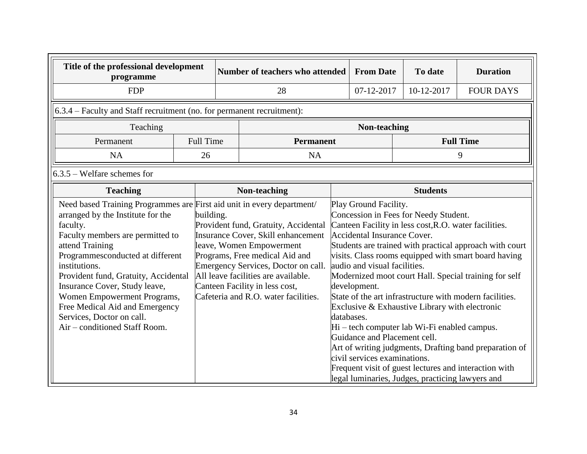| Title of the professional development<br>programme                                                                                                                               |                                                                                                                                                                                                                                                                                                                                                                                                                                                                                                                                                                          |  | <b>Number of teachers who attended</b> |            | <b>From Date</b>                                                                                                                                                            | To date                                                                                                                                                                                                                                              | <b>Duration</b>                                                                                                                                                                                                                                                                                                                                        |
|----------------------------------------------------------------------------------------------------------------------------------------------------------------------------------|--------------------------------------------------------------------------------------------------------------------------------------------------------------------------------------------------------------------------------------------------------------------------------------------------------------------------------------------------------------------------------------------------------------------------------------------------------------------------------------------------------------------------------------------------------------------------|--|----------------------------------------|------------|-----------------------------------------------------------------------------------------------------------------------------------------------------------------------------|------------------------------------------------------------------------------------------------------------------------------------------------------------------------------------------------------------------------------------------------------|--------------------------------------------------------------------------------------------------------------------------------------------------------------------------------------------------------------------------------------------------------------------------------------------------------------------------------------------------------|
| <b>FDP</b>                                                                                                                                                                       |                                                                                                                                                                                                                                                                                                                                                                                                                                                                                                                                                                          |  | 28                                     |            | 07-12-2017                                                                                                                                                                  | 10-12-2017                                                                                                                                                                                                                                           | <b>FOUR DAYS</b>                                                                                                                                                                                                                                                                                                                                       |
| 6.3.4 – Faculty and Staff recruitment (no. for permanent recruitment):                                                                                                           |                                                                                                                                                                                                                                                                                                                                                                                                                                                                                                                                                                          |  |                                        |            |                                                                                                                                                                             |                                                                                                                                                                                                                                                      |                                                                                                                                                                                                                                                                                                                                                        |
| Teaching                                                                                                                                                                         |                                                                                                                                                                                                                                                                                                                                                                                                                                                                                                                                                                          |  |                                        |            | Non-teaching                                                                                                                                                                |                                                                                                                                                                                                                                                      |                                                                                                                                                                                                                                                                                                                                                        |
| Permanent                                                                                                                                                                        | <b>Full Time</b>                                                                                                                                                                                                                                                                                                                                                                                                                                                                                                                                                         |  | <b>Permanent</b>                       |            |                                                                                                                                                                             |                                                                                                                                                                                                                                                      | <b>Full Time</b>                                                                                                                                                                                                                                                                                                                                       |
| <b>NA</b>                                                                                                                                                                        | 26                                                                                                                                                                                                                                                                                                                                                                                                                                                                                                                                                                       |  | <b>NA</b>                              |            |                                                                                                                                                                             |                                                                                                                                                                                                                                                      | 9                                                                                                                                                                                                                                                                                                                                                      |
| $6.3.5$ – Welfare schemes for                                                                                                                                                    |                                                                                                                                                                                                                                                                                                                                                                                                                                                                                                                                                                          |  |                                        |            |                                                                                                                                                                             |                                                                                                                                                                                                                                                      |                                                                                                                                                                                                                                                                                                                                                        |
| <b>Teaching</b>                                                                                                                                                                  |                                                                                                                                                                                                                                                                                                                                                                                                                                                                                                                                                                          |  | Non-teaching                           |            |                                                                                                                                                                             | <b>Students</b>                                                                                                                                                                                                                                      |                                                                                                                                                                                                                                                                                                                                                        |
| arranged by the Institute for the<br>faculty.<br>attend Training<br>institutions.<br>Insurance Cover, Study leave,<br>Services, Doctor on call.<br>Air - conditioned Staff Room. | Need based Training Programmes are First aid unit in every department/<br>building.<br>Provident fund, Gratuity, Accidental<br>Faculty members are permitted to<br>Insurance Cover, Skill enhancement<br>leave, Women Empowerment<br>Programmesconducted at different<br>Programs, Free medical Aid and<br>Emergency Services, Doctor on call.<br>All leave facilities are available.<br>Provident fund, Gratuity, Accidental<br>Canteen Facility in less cost,<br>Cafeteria and R.O. water facilities.<br>Women Empowerment Programs,<br>Free Medical Aid and Emergency |  |                                        | databases. | Play Ground Facility.<br><b>Accidental Insurance Cover.</b><br>audio and visual facilities.<br>development.<br>Guidance and Placement cell.<br>civil services examinations. | Concession in Fees for Needy Student.<br>Canteen Facility in less cost, R.O. water facilities.<br>Exclusive & Exhaustive Library with electronic<br>Hi – tech computer lab Wi-Fi enabled campus.<br>legal luminaries, Judges, practicing lawyers and | Students are trained with practical approach with court<br>visits. Class rooms equipped with smart board having<br>Modernized moot court Hall. Special training for self<br>State of the art infrastructure with modern facilities.<br>Art of writing judgments, Drafting band preparation of<br>Frequent visit of guest lectures and interaction with |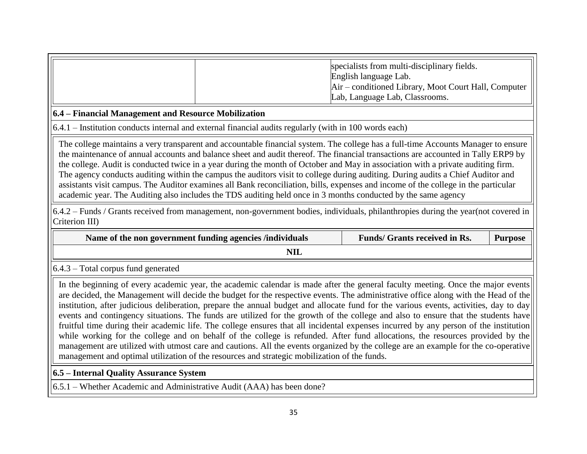| specialists from multi-disciplinary fields.<br>English language Lab.                   |
|----------------------------------------------------------------------------------------|
| Air – conditioned Library, Moot Court Hall, Computer<br>Lab, Language Lab, Classrooms. |

### **6.4 – Financial Management and Resource Mobilization**

6.4.1 – Institution conducts internal and external financial audits regularly (with in 100 words each)

The college maintains a very transparent and accountable financial system. The college has a full-time Accounts Manager to ensure the maintenance of annual accounts and balance sheet and audit thereof. The financial transactions are accounted in Tally ERP9 by the college. Audit is conducted twice in a year during the month of October and May in association with a private auditing firm. The agency conducts auditing within the campus the auditors visit to college during auditing. During audits a Chief Auditor and assistants visit campus. The Auditor examines all Bank reconciliation, bills, expenses and income of the college in the particular academic year. The Auditing also includes the TDS auditing held once in 3 months conducted by the same agency

6.4.2 – Funds / Grants received from management, non-government bodies, individuals, philanthropies during the year(not covered in Criterion III)

| Name of the non government funding agencies /individuals | Funds/ Grants received in Rs. | <b>Purpose</b> |
|----------------------------------------------------------|-------------------------------|----------------|
| NIL                                                      |                               |                |

6.4.3 – Total corpus fund generated

In the beginning of every academic year, the academic calendar is made after the general faculty meeting. Once the major events are decided, the Management will decide the budget for the respective events. The administrative office along with the Head of the institution, after judicious deliberation, prepare the annual budget and allocate fund for the various events, activities, day to day events and contingency situations. The funds are utilized for the growth of the college and also to ensure that the students have fruitful time during their academic life. The college ensures that all incidental expenses incurred by any person of the institution while working for the college and on behalf of the college is refunded. After fund allocations, the resources provided by the management are utilized with utmost care and cautions. All the events organized by the college are an example for the co-operative management and optimal utilization of the resources and strategic mobilization of the funds.

### **6.5 – Internal Quality Assurance System**

6.5.1 – Whether Academic and Administrative Audit (AAA) has been done?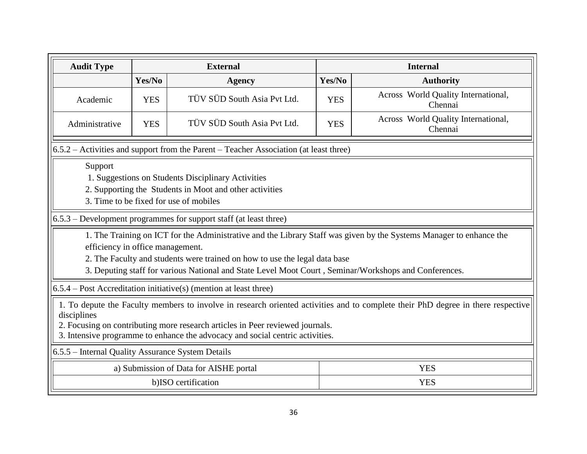| <b>Audit Type</b>                                                                                                                                                                                                                                                                                                 |                                                   | <b>External</b>                                                                                                                                                                     | <b>Internal</b> |                                                                                                                     |  |  |  |  |  |
|-------------------------------------------------------------------------------------------------------------------------------------------------------------------------------------------------------------------------------------------------------------------------------------------------------------------|---------------------------------------------------|-------------------------------------------------------------------------------------------------------------------------------------------------------------------------------------|-----------------|---------------------------------------------------------------------------------------------------------------------|--|--|--|--|--|
|                                                                                                                                                                                                                                                                                                                   | Yes/No<br><b>Agency</b>                           |                                                                                                                                                                                     | Yes/No          | <b>Authority</b>                                                                                                    |  |  |  |  |  |
| Academic                                                                                                                                                                                                                                                                                                          | <b>YES</b>                                        | TÜV SÜD South Asia Pvt Ltd.                                                                                                                                                         | <b>YES</b>      | Across World Quality International,<br>Chennai                                                                      |  |  |  |  |  |
| Administrative                                                                                                                                                                                                                                                                                                    | <b>YES</b>                                        | Across World Quality International,<br>TÜV SÜD South Asia Pvt Ltd.<br><b>YES</b><br>Chennai                                                                                         |                 |                                                                                                                     |  |  |  |  |  |
|                                                                                                                                                                                                                                                                                                                   |                                                   | $6.5.2$ – Activities and support from the Parent – Teacher Association (at least three)                                                                                             |                 |                                                                                                                     |  |  |  |  |  |
| Support<br>1. Suggestions on Students Disciplinary Activities<br>2. Supporting the Students in Moot and other activities<br>3. Time to be fixed for use of mobiles                                                                                                                                                |                                                   |                                                                                                                                                                                     |                 |                                                                                                                     |  |  |  |  |  |
|                                                                                                                                                                                                                                                                                                                   |                                                   | 6.5.3 – Development programmes for support staff (at least three)                                                                                                                   |                 |                                                                                                                     |  |  |  |  |  |
| efficiency in office management.                                                                                                                                                                                                                                                                                  |                                                   | 2. The Faculty and students were trained on how to use the legal data base<br>3. Deputing staff for various National and State Level Moot Court, Seminar/Workshops and Conferences. |                 | 1. The Training on ICT for the Administrative and the Library Staff was given by the Systems Manager to enhance the |  |  |  |  |  |
|                                                                                                                                                                                                                                                                                                                   |                                                   | $6.5.4$ – Post Accreditation initiative(s) (mention at least three)                                                                                                                 |                 |                                                                                                                     |  |  |  |  |  |
| 1. To depute the Faculty members to involve in research oriented activities and to complete their PhD degree in there respective<br>disciplines<br>2. Focusing on contributing more research articles in Peer reviewed journals.<br>3. Intensive programme to enhance the advocacy and social centric activities. |                                                   |                                                                                                                                                                                     |                 |                                                                                                                     |  |  |  |  |  |
|                                                                                                                                                                                                                                                                                                                   | 6.5.5 – Internal Quality Assurance System Details |                                                                                                                                                                                     |                 |                                                                                                                     |  |  |  |  |  |
|                                                                                                                                                                                                                                                                                                                   |                                                   | a) Submission of Data for AISHE portal                                                                                                                                              |                 | <b>YES</b>                                                                                                          |  |  |  |  |  |
|                                                                                                                                                                                                                                                                                                                   |                                                   | b)ISO certification                                                                                                                                                                 |                 | <b>YES</b>                                                                                                          |  |  |  |  |  |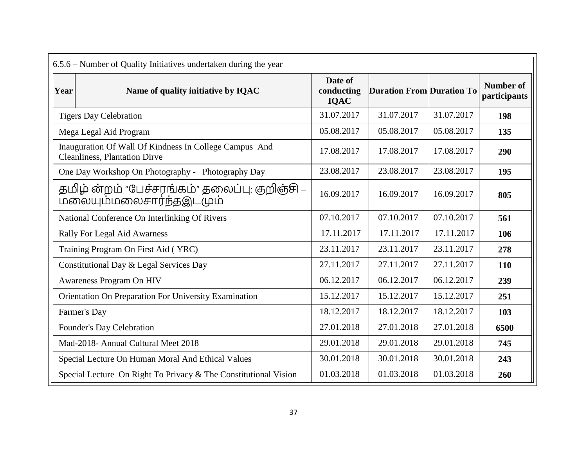|      | 6.5.6 – Number of Quality Initiatives undertaken during the year                               |                               |                                  |            |                                  |  |  |  |
|------|------------------------------------------------------------------------------------------------|-------------------------------|----------------------------------|------------|----------------------------------|--|--|--|
| Year | Name of quality initiative by IQAC                                                             | Date of<br>conducting<br>IQAC | <b>Duration From Duration To</b> |            | <b>Number of</b><br>participants |  |  |  |
|      | <b>Tigers Day Celebration</b>                                                                  | 31.07.2017                    | 31.07.2017                       | 31.07.2017 | 198                              |  |  |  |
|      | Mega Legal Aid Program                                                                         | 05.08.2017                    | 05.08.2017                       | 05.08.2017 | 135                              |  |  |  |
|      | Inauguration Of Wall Of Kindness In College Campus And<br><b>Cleanliness, Plantation Dirve</b> | 17.08.2017                    | 17.08.2017                       | 17.08.2017 | 290                              |  |  |  |
|      | One Day Workshop On Photography - Photography Day                                              | 23.08.2017                    | 23.08.2017                       | 23.08.2017 | 195                              |  |  |  |
|      | தமிழ் ன்றம் "பேச்சரங்கம்" தலைப்பு: குறிஞ்சி –<br><u>மலையும்மலைசார்ந்தஇடமும்</u>                | 16.09.2017                    | 16.09.2017                       | 16.09.2017 | 805                              |  |  |  |
|      | National Conference On Interlinking Of Rivers                                                  | 07.10.2017                    | 07.10.2017                       | 07.10.2017 | 561                              |  |  |  |
|      | <b>Rally For Legal Aid Awarness</b>                                                            | 17.11.2017                    | 17.11.2017                       | 17.11.2017 | 106                              |  |  |  |
|      | Training Program On First Aid (YRC)                                                            | 23.11.2017                    | 23.11.2017                       | 23.11.2017 | 278                              |  |  |  |
|      | Constitutional Day & Legal Services Day                                                        | 27.11.2017                    | 27.11.2017                       | 27.11.2017 | 110                              |  |  |  |
|      | Awareness Program On HIV                                                                       | 06.12.2017                    | 06.12.2017                       | 06.12.2017 | 239                              |  |  |  |
|      | Orientation On Preparation For University Examination                                          | 15.12.2017                    | 15.12.2017                       | 15.12.2017 | 251                              |  |  |  |
|      | Farmer's Day                                                                                   | 18.12.2017                    | 18.12.2017                       | 18.12.2017 | 103                              |  |  |  |
|      | Founder's Day Celebration                                                                      | 27.01.2018                    | 27.01.2018                       | 27.01.2018 | 6500                             |  |  |  |
|      | Mad-2018- Annual Cultural Meet 2018                                                            | 29.01.2018                    | 29.01.2018                       | 29.01.2018 | 745                              |  |  |  |
|      | Special Lecture On Human Moral And Ethical Values                                              | 30.01.2018                    | 30.01.2018                       | 30.01.2018 | 243                              |  |  |  |
|      | Special Lecture On Right To Privacy & The Constitutional Vision                                | 01.03.2018                    | 01.03.2018                       | 01.03.2018 | 260                              |  |  |  |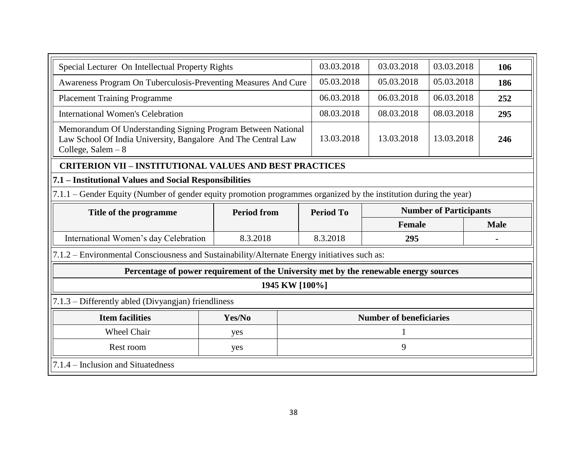| Special Lecturer On Intellectual Property Rights                                                                                                     |                    | 03.03.2018     | 03.03.2018       | 03.03.2018                     | 106         |     |
|------------------------------------------------------------------------------------------------------------------------------------------------------|--------------------|----------------|------------------|--------------------------------|-------------|-----|
| Awareness Program On Tuberculosis-Preventing Measures And Cure                                                                                       | 05.03.2018         | 05.03.2018     | 05.03.2018       | 186                            |             |     |
| <b>Placement Training Programme</b>                                                                                                                  |                    |                | 06.03.2018       | 06.03.2018                     | 06.03.2018  | 252 |
| <b>International Women's Celebration</b>                                                                                                             |                    |                | 08.03.2018       | 08.03.2018                     | 08.03.2018  | 295 |
| Memorandum Of Understanding Signing Program Between National<br>Law School Of India University, Bangalore And The Central Law<br>College, Salem $-8$ | 13.03.2018         | 13.03.2018     | 13.03.2018       | 246                            |             |     |
| <b>CRITERION VII - INSTITUTIONAL VALUES AND BEST PRACTICES</b>                                                                                       |                    |                |                  |                                |             |     |
| 7.1 – Institutional Values and Social Responsibilities                                                                                               |                    |                |                  |                                |             |     |
| 7.1.1 – Gender Equity (Number of gender equity promotion programmes organized by the institution during the year)                                    |                    |                |                  |                                |             |     |
| Title of the programme                                                                                                                               | <b>Period from</b> |                | <b>Period To</b> | <b>Number of Participants</b>  |             |     |
|                                                                                                                                                      |                    |                |                  | Female                         | <b>Male</b> |     |
| International Women's day Celebration                                                                                                                | 8.3.2018           |                | 8.3.2018         | 295                            |             |     |
| 7.1.2 – Environmental Consciousness and Sustainability/Alternate Energy initiatives such as:                                                         |                    |                |                  |                                |             |     |
| Percentage of power requirement of the University met by the renewable energy sources                                                                |                    |                |                  |                                |             |     |
|                                                                                                                                                      |                    | 1945 KW [100%] |                  |                                |             |     |
| 7.1.3 – Differently abled (Divyangian) friendliness                                                                                                  |                    |                |                  |                                |             |     |
| <b>Item facilities</b>                                                                                                                               | Yes/No             |                |                  | <b>Number of beneficiaries</b> |             |     |
| Wheel Chair                                                                                                                                          | yes                |                |                  |                                |             |     |
| 9<br>Rest room<br>yes                                                                                                                                |                    |                |                  |                                |             |     |
| 7.1.4 – Inclusion and Situatedness                                                                                                                   |                    |                |                  |                                |             |     |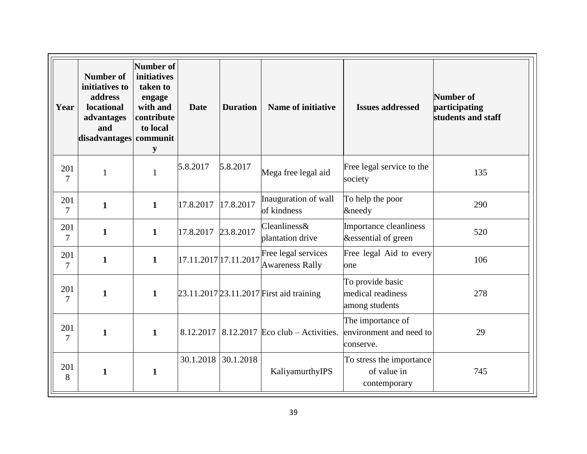| Year          | <b>Number of</b><br>initiatives to<br>address<br>locational<br>advantages<br>and<br>disadvantages communit | <b>Number of</b><br>initiatives<br>taken to<br>engage<br>with and<br>contribute<br>to local<br>y | <b>Date</b>           | <b>Duration</b> | <b>Name of initiative</b><br><b>Issues addressed</b> |                                                           | <b>Number of</b><br>participating<br>students and staff |
|---------------|------------------------------------------------------------------------------------------------------------|--------------------------------------------------------------------------------------------------|-----------------------|-----------------|------------------------------------------------------|-----------------------------------------------------------|---------------------------------------------------------|
| 201<br>7      | $\mathbf{1}$                                                                                               | $\mathbf{1}$                                                                                     | 5.8.2017              | 5.8.2017        | Mega free legal aid                                  | Free legal service to the<br>society                      | 135                                                     |
| 201<br>7      | $\mathbf{1}$                                                                                               | $\mathbf{1}$                                                                                     | 17.8.2017             | 17.8.2017       | Inauguration of wall<br>of kindness                  | To help the poor<br>&needy                                | 290                                                     |
| 201<br>7      | $\mathbf{1}$                                                                                               | $\mathbf{1}$                                                                                     | 17.8.2017             | 23.8.2017       | Cleanliness&<br>plantation drive                     | Importance cleanliness<br>&essential of green             | 520                                                     |
| 201<br>$\tau$ | $\mathbf{1}$                                                                                               | $\mathbf{1}$                                                                                     | 17.11.2017 17.11.2017 |                 | Free legal services<br><b>Awareness Rally</b>        | Free legal Aid to every<br>one                            | 106                                                     |
| 201<br>7      | $\mathbf{1}$                                                                                               | $\mathbf{1}$                                                                                     |                       |                 | 23.11.2017 23.11.2017 First aid training             | To provide basic<br>medical readiness<br>among students   | 278                                                     |
| 201<br>7      | $\mathbf{1}$                                                                                               | $\mathbf{1}$                                                                                     | 8.12.2017             |                 | $8.12.2017$ Eco club – Activities.                   | The importance of<br>environment and need to<br>conserve. | 29                                                      |
| 201<br>8      | $\mathbf{1}$                                                                                               | $\mathbf{1}$                                                                                     | 30.1.2018             | 30.1.2018       | KaliyamurthyIPS                                      | To stress the importance<br>of value in<br>contemporary   | 745                                                     |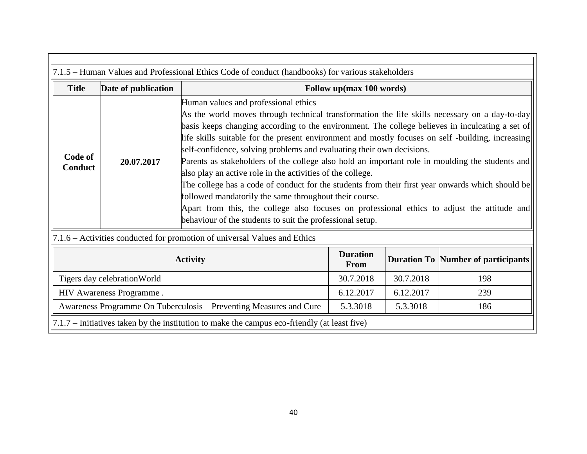| 7.1.5 – Human Values and Professional Ethics Code of conduct (handbooks) for various stakeholders |                     |                                                                                                                                                                                                                                                                                                                                                                                                                                                                                                                                                                                                                                                                                                                                                                                                                                                                                                                  |                                |           |                                    |
|---------------------------------------------------------------------------------------------------|---------------------|------------------------------------------------------------------------------------------------------------------------------------------------------------------------------------------------------------------------------------------------------------------------------------------------------------------------------------------------------------------------------------------------------------------------------------------------------------------------------------------------------------------------------------------------------------------------------------------------------------------------------------------------------------------------------------------------------------------------------------------------------------------------------------------------------------------------------------------------------------------------------------------------------------------|--------------------------------|-----------|------------------------------------|
| <b>Title</b>                                                                                      | Date of publication | Follow up(max 100 words)                                                                                                                                                                                                                                                                                                                                                                                                                                                                                                                                                                                                                                                                                                                                                                                                                                                                                         |                                |           |                                    |
| Code of<br>Conduct                                                                                | 20.07.2017          | Human values and professional ethics<br>As the world moves through technical transformation the life skills necessary on a day-to-day<br>basis keeps changing according to the environment. The college believes in inculcating a set of<br>life skills suitable for the present environment and mostly focuses on self-building, increasing<br>self-confidence, solving problems and evaluating their own decisions.<br>Parents as stakeholders of the college also hold an important role in moulding the students and<br>also play an active role in the activities of the college.<br>The college has a code of conduct for the students from their first year onwards which should be<br>followed mandatorily the same throughout their course.<br>Apart from this, the college also focuses on professional ethics to adjust the attitude and<br>behaviour of the students to suit the professional setup. |                                |           |                                    |
| 7.1.6 – Activities conducted for promotion of universal Values and Ethics                         |                     |                                                                                                                                                                                                                                                                                                                                                                                                                                                                                                                                                                                                                                                                                                                                                                                                                                                                                                                  |                                |           |                                    |
| <b>Activity</b>                                                                                   |                     |                                                                                                                                                                                                                                                                                                                                                                                                                                                                                                                                                                                                                                                                                                                                                                                                                                                                                                                  | <b>Duration</b><br><b>From</b> |           | Duration To Number of participants |
| Tigers day celebration World                                                                      |                     |                                                                                                                                                                                                                                                                                                                                                                                                                                                                                                                                                                                                                                                                                                                                                                                                                                                                                                                  | 30.7.2018                      | 30.7.2018 | 198                                |
| HIV Awareness Programme.                                                                          |                     |                                                                                                                                                                                                                                                                                                                                                                                                                                                                                                                                                                                                                                                                                                                                                                                                                                                                                                                  | 6.12.2017                      | 6.12.2017 | 239                                |
| Awareness Programme On Tuberculosis – Preventing Measures and Cure                                |                     |                                                                                                                                                                                                                                                                                                                                                                                                                                                                                                                                                                                                                                                                                                                                                                                                                                                                                                                  | 5.3.3018                       | 5.3.3018  | 186                                |
| 7.1.7 – Initiatives taken by the institution to make the campus eco-friendly (at least five)      |                     |                                                                                                                                                                                                                                                                                                                                                                                                                                                                                                                                                                                                                                                                                                                                                                                                                                                                                                                  |                                |           |                                    |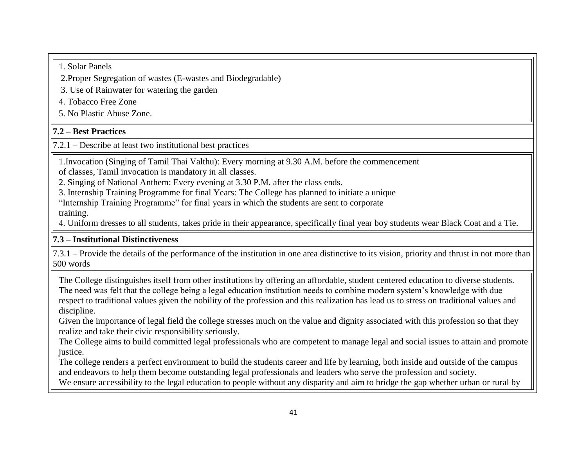1. Solar Panels

2.Proper Segregation of wastes (E-wastes and Biodegradable)

3. Use of Rainwater for watering the garden

4. Tobacco Free Zone

5. No Plastic Abuse Zone.

# **7.2 – Best Practices**

7.2.1 – Describe at least two institutional best practices

1.Invocation (Singing of Tamil Thai Valthu): Every morning at 9.30 A.M. before the commencement

of classes, Tamil invocation is mandatory in all classes.

2. Singing of National Anthem: Every evening at 3.30 P.M. after the class ends.

3. Internship Training Programme for final Years: The College has planned to initiate a unique

"Internship Training Programme" for final years in which the students are sent to corporate training.

4. Uniform dresses to all students, takes pride in their appearance, specifically final year boy students wear Black Coat and a Tie.

# **7.3 – Institutional Distinctiveness**

7.3.1 – Provide the details of the performance of the institution in one area distinctive to its vision, priority and thrust in not more than 500 words

The College distinguishes itself from other institutions by offering an affordable, student centered education to diverse students. The need was felt that the college being a legal education institution needs to combine modern system's knowledge with due respect to traditional values given the nobility of the profession and this realization has lead us to stress on traditional values and discipline.

Given the importance of legal field the college stresses much on the value and dignity associated with this profession so that they realize and take their civic responsibility seriously.

The College aims to build committed legal professionals who are competent to manage legal and social issues to attain and promote justice.

The college renders a perfect environment to build the students career and life by learning, both inside and outside of the campus and endeavors to help them become outstanding legal professionals and leaders who serve the profession and society.

We ensure accessibility to the legal education to people without any disparity and aim to bridge the gap whether urban or rural by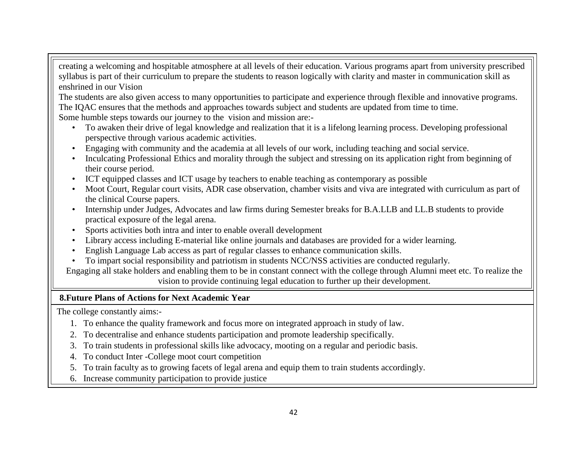creating a welcoming and hospitable atmosphere at all levels of their education. Various programs apart from university prescribed syllabus is part of their curriculum to prepare the students to reason logically with clarity and master in communication skill as enshrined in our Vision

The students are also given access to many opportunities to participate and experience through flexible and innovative programs. The IQAC ensures that the methods and approaches towards subject and students are updated from time to time.

Some humble steps towards our journey to the vision and mission are:-

- To awaken their drive of legal knowledge and realization that it is a lifelong learning process. Developing professional perspective through various academic activities.
- Engaging with community and the academia at all levels of our work, including teaching and social service.
- Inculcating Professional Ethics and morality through the subject and stressing on its application right from beginning of their course period.
- ICT equipped classes and ICT usage by teachers to enable teaching as contemporary as possible
- Moot Court, Regular court visits, ADR case observation, chamber visits and viva are integrated with curriculum as part of the clinical Course papers.
- Internship under Judges, Advocates and law firms during Semester breaks for B.A.LLB and LL.B students to provide practical exposure of the legal arena.
- Sports activities both intra and inter to enable overall development
- Library access including E-material like online journals and databases are provided for a wider learning.
- English Language Lab access as part of regular classes to enhance communication skills.
- To impart social responsibility and patriotism in students NCC/NSS activities are conducted regularly.

Engaging all stake holders and enabling them to be in constant connect with the college through Alumni meet etc. To realize the vision to provide continuing legal education to further up their development.

### **8.Future Plans of Actions for Next Academic Year**

The college constantly aims:-

- 1. To enhance the quality framework and focus more on integrated approach in study of law.
- 2. To decentralise and enhance students participation and promote leadership specifically.
- 3. To train students in professional skills like advocacy, mooting on a regular and periodic basis.
- 4. To conduct Inter -College moot court competition
- 5. To train faculty as to growing facets of legal arena and equip them to train students accordingly.
- 6. Increase community participation to provide justice